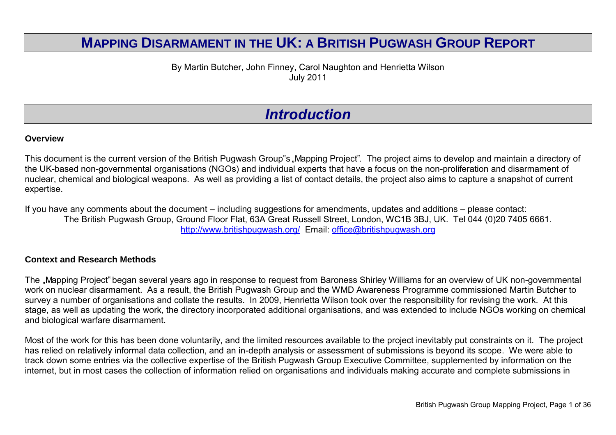#### **MAPPING DISARMAMENT IN THE UK: A BRITISH PUGWASH GROUP REPORT**

By Martin Butcher, John Finney, Carol Naughton and Henrietta Wilson July 2011

#### *Introduction*

#### **Overview**

This document is the current version of the British Pugwash Group"s "Mapping Project". The project aims to develop and maintain a directory of the UK-based non-governmental organisations (NGOs) and individual experts that have a focus on the non-proliferation and disarmament of nuclear, chemical and biological weapons. As well as providing a list of contact details, the project also aims to capture a snapshot of current expertise.

If you have any comments about the document – including suggestions for amendments, updates and additions – please contact: The British Pugwash Group, Ground Floor Flat, 63A Great Russell Street, London, WC1B 3BJ, UK. Tel 044 (0)20 7405 6661. <http://www.britishpugwash.org/>Email: [office@britishpugwash.org](mailto:office@britishpugwash.org)

#### **Context and Research Methods**

The "Mapping Project" began several years ago in response to request from Baroness Shirley Williams for an overview of UK non-governmental work on nuclear disarmament. As a result, the British Pugwash Group and the WMD Awareness Programme commissioned Martin Butcher to survey a number of organisations and collate the results. In 2009, Henrietta Wilson took over the responsibility for revising the work. At this stage, as well as updating the work, the directory incorporated additional organisations, and was extended to include NGOs working on chemical and biological warfare disarmament.

Most of the work for this has been done voluntarily, and the limited resources available to the project inevitably put constraints on it. The project has relied on relatively informal data collection, and an in-depth analysis or assessment of submissions is beyond its scope. We were able to track down some entries via the collective expertise of the British Pugwash Group Executive Committee, supplemented by information on the internet, but in most cases the collection of information relied on organisations and individuals making accurate and complete submissions in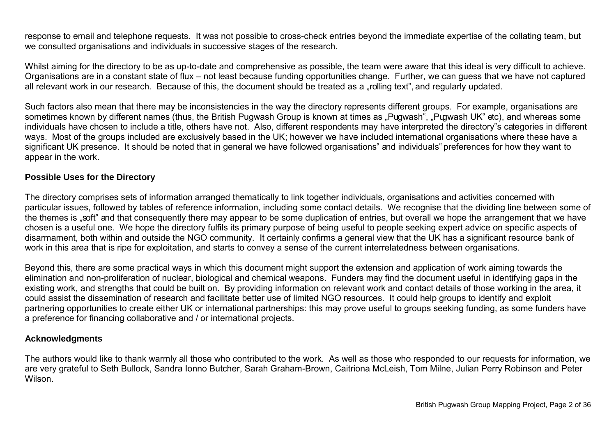response to email and telephone requests. It was not possible to cross-check entries beyond the immediate expertise of the collating team, but we consulted organisations and individuals in successive stages of the research.

Whilst aiming for the directory to be as up-to-date and comprehensive as possible, the team were aware that this ideal is very difficult to achieve. Organisations are in a constant state of flux – not least because funding opportunities change. Further, we can guess that we have not captured all relevant work in our research. Because of this, the document should be treated as a "rolling text", and regularly updated.

Such factors also mean that there may be inconsistencies in the way the directory represents different groups. For example, organisations are sometimes known by different names (thus, the British Pugwash Group is known at times as "Pugwash", "Pugwash UK" etc), and whereas some individuals have chosen to include a title, others have not. Also, different respondents may have interpreted the directory"s categories in different ways. Most of the groups included are exclusively based in the UK; however we have included international organisations where these have a significant UK presence. It should be noted that in general we have followed organisations" and individuals" preferences for how they want to appear in the work.

#### **Possible Uses for the Directory**

The directory comprises sets of information arranged thematically to link together individuals, organisations and activities concerned with particular issues, followed by tables of reference information, including some contact details. We recognise that the dividing line between some of the themes is "soft" and that consequently there may appear to be some duplication of entries, but overall we hope the arrangement that we have chosen is a useful one. We hope the directory fulfils its primary purpose of being useful to people seeking expert advice on specific aspects of disarmament, both within and outside the NGO community. It certainly confirms a general view that the UK has a significant resource bank of work in this area that is ripe for exploitation, and starts to convey a sense of the current interrelatedness between organisations.

Beyond this, there are some practical ways in which this document might support the extension and application of work aiming towards the elimination and non-proliferation of nuclear, biological and chemical weapons. Funders may find the document useful in identifying gaps in the existing work, and strengths that could be built on. By providing information on relevant work and contact details of those working in the area, it could assist the dissemination of research and facilitate better use of limited NGO resources. It could help groups to identify and exploit partnering opportunities to create either UK or international partnerships: this may prove useful to groups seeking funding, as some funders have a preference for financing collaborative and / or international projects.

#### **Acknowledgments**

The authors would like to thank warmly all those who contributed to the work. As well as those who responded to our requests for information, we are very grateful to Seth Bullock, Sandra Ionno Butcher, Sarah Graham-Brown, Caitriona McLeish, Tom Milne, Julian Perry Robinson and Peter Wilson.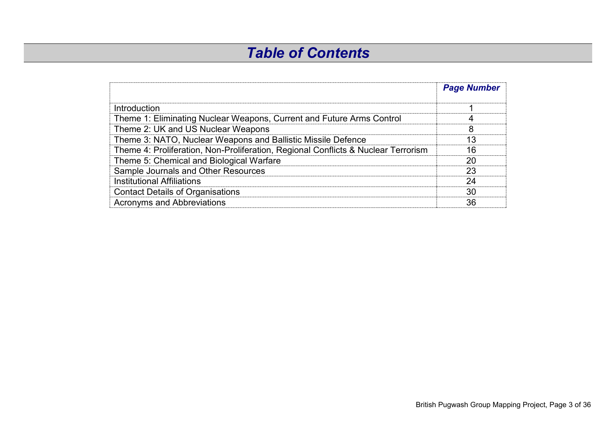### *Table of Contents*

|                                                                                   | <b>Page Number</b> |
|-----------------------------------------------------------------------------------|--------------------|
| Introduction                                                                      |                    |
| Theme 1: Eliminating Nuclear Weapons, Current and Future Arms Control             | 4                  |
| Theme 2: UK and US Nuclear Weapons                                                | 8                  |
| Theme 3: NATO, Nuclear Weapons and Ballistic Missile Defence                      | 13                 |
| Theme 4: Proliferation, Non-Proliferation, Regional Conflicts & Nuclear Terrorism | 16                 |
| Theme 5: Chemical and Biological Warfare                                          | 20                 |
| Sample Journals and Other Resources                                               | 23                 |
| <b>Institutional Affiliations</b>                                                 | 24                 |
| <b>Contact Details of Organisations</b>                                           | 30                 |
| <b>Acronyms and Abbreviations</b>                                                 | 36                 |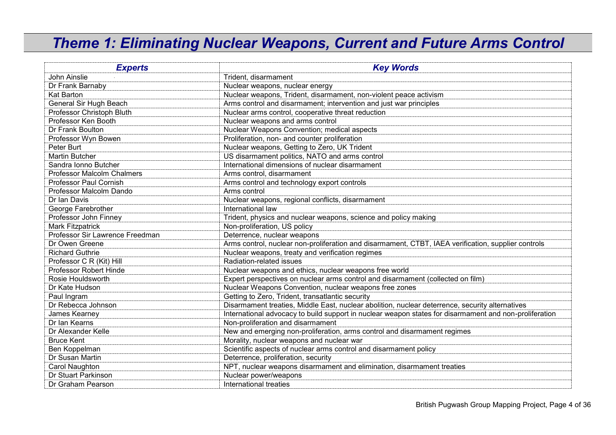#### *Theme 1: Eliminating Nuclear Weapons, Current and Future Arms Control*

| <b>Experts</b>                    | <b>Key Words</b>                                                                                       |
|-----------------------------------|--------------------------------------------------------------------------------------------------------|
| John Ainslie                      | Trident, disarmament                                                                                   |
| Dr Frank Barnaby                  | Nuclear weapons, nuclear energy                                                                        |
| Kat Barton                        | Nuclear weapons, Trident, disarmament, non-violent peace activism                                      |
| General Sir Hugh Beach            | Arms control and disarmament; intervention and just war principles                                     |
| Professor Christoph Bluth         | Nuclear arms control, cooperative threat reduction                                                     |
| Professor Ken Booth               | Nuclear weapons and arms control                                                                       |
| Dr Frank Boulton                  | Nuclear Weapons Convention; medical aspects                                                            |
| Professor Wyn Bowen               | Proliferation, non- and counter proliferation                                                          |
| Peter Burt                        | Nuclear weapons, Getting to Zero, UK Trident                                                           |
| <b>Martin Butcher</b>             | US disarmament politics, NATO and arms control                                                         |
| Sandra Ionno Butcher              | International dimensions of nuclear disarmament                                                        |
| <b>Professor Malcolm Chalmers</b> | Arms control, disarmament                                                                              |
| <b>Professor Paul Cornish</b>     | Arms control and technology export controls                                                            |
| Professor Malcolm Dando           | Arms control                                                                                           |
| Dr Ian Davis                      | Nuclear weapons, regional conflicts, disarmament                                                       |
| George Farebrother                | International law                                                                                      |
| Professor John Finney             | Trident, physics and nuclear weapons, science and policy making                                        |
| Mark Fitzpatrick                  | Non-proliferation, US policy                                                                           |
| Professor Sir Lawrence Freedman   | Deterrence, nuclear weapons                                                                            |
| Dr Owen Greene                    | Arms control, nuclear non-proliferation and disarmament, CTBT, IAEA verification, supplier controls    |
| <b>Richard Guthrie</b>            | Nuclear weapons, treaty and verification regimes                                                       |
| Professor C R (Kit) Hill          | Radiation-related issues                                                                               |
| Professor Robert Hinde            | Nuclear weapons and ethics, nuclear weapons free world                                                 |
| Rosie Houldsworth                 | Expert perspectives on nuclear arms control and disarmament (collected on film)                        |
| Dr Kate Hudson                    | Nuclear Weapons Convention, nuclear weapons free zones                                                 |
| Paul Ingram                       | Getting to Zero, Trident, transatlantic security                                                       |
| Dr Rebecca Johnson                | Disarmament treaties, Middle East, nuclear abolition, nuclear deterrence, security alternatives        |
| James Kearney                     | International advocacy to build support in nuclear weapon states for disarmament and non-proliferation |
| Dr Ian Kearns                     | Non-proliferation and disarmament                                                                      |
| Dr Alexander Kelle                | New and emerging non-proliferation, arms control and disarmament regimes                               |
| <b>Bruce Kent</b>                 | Morality, nuclear weapons and nuclear war                                                              |
| Ben Koppelman                     | Scientific aspects of nuclear arms control and disarmament policy                                      |
| Dr Susan Martin                   | Deterrence, proliferation, security                                                                    |
| Carol Naughton                    | NPT, nuclear weapons disarmament and elimination, disarmament treaties                                 |
| Dr Stuart Parkinson               | Nuclear power/weapons                                                                                  |
| Dr Graham Pearson                 | International treaties                                                                                 |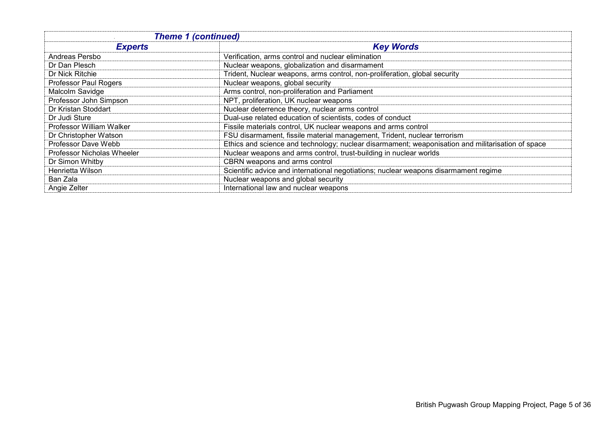| <b>Theme 1 (continued)</b> |                                                                                                   |
|----------------------------|---------------------------------------------------------------------------------------------------|
| <b>Experts</b>             | <b>Key Words</b>                                                                                  |
| Andreas Persbo             | Verification, arms control and nuclear elimination                                                |
| Dr Dan Plesch              | Nuclear weapons, globalization and disarmament                                                    |
| Dr Nick Ritchie            | Trident, Nuclear weapons, arms control, non-proliferation, global security                        |
| Professor Paul Rogers      | Nuclear weapons, global security                                                                  |
| Malcolm Savidge            | Arms control, non-proliferation and Parliament                                                    |
| Professor John Simpson     | NPT, proliferation, UK nuclear weapons                                                            |
| Dr Kristan Stoddart        | Nuclear deterrence theory, nuclear arms control                                                   |
| Dr Judi Sture              | Dual-use related education of scientists, codes of conduct                                        |
| Professor William Walker   | Fissile materials control, UK nuclear weapons and arms control                                    |
| Dr Christopher Watson      | FSU disarmament, fissile material management, Trident, nuclear terrorism                          |
| Professor Dave Webb        | Ethics and science and technology; nuclear disarmament; weaponisation and militarisation of space |
| Professor Nicholas Wheeler | Nuclear weapons and arms control, trust-building in nuclear worlds                                |
| Dr Simon Whitby            | CBRN weapons and arms control                                                                     |
| Henrietta Wilson           | Scientific advice and international negotiations; nuclear weapons disarmament regime              |
| Ban Zala                   | Nuclear weapons and global security                                                               |
| Angie Zelter               | International law and nuclear weapons                                                             |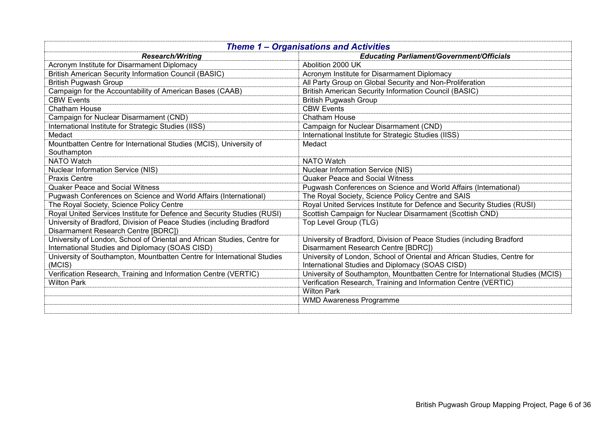| <b>Theme 1 - Organisations and Activities</b>                                                                |                                                                                |
|--------------------------------------------------------------------------------------------------------------|--------------------------------------------------------------------------------|
| <b>Research/Writing</b>                                                                                      | <b>Educating Parliament/Government/Officials</b>                               |
| Acronym Institute for Disarmament Diplomacy                                                                  | Abolition 2000 UK                                                              |
| <b>British American Security Information Council (BASIC)</b>                                                 | Acronym Institute for Disarmament Diplomacy                                    |
| <b>British Pugwash Group</b>                                                                                 | All Party Group on Global Security and Non-Proliferation                       |
| Campaign for the Accountability of American Bases (CAAB)                                                     | <b>British American Security Information Council (BASIC)</b>                   |
| <b>CBW Events</b>                                                                                            | <b>British Pugwash Group</b>                                                   |
| <b>Chatham House</b>                                                                                         | <b>CBW Events</b>                                                              |
| Campaign for Nuclear Disarmament (CND)                                                                       | Chatham House                                                                  |
| International Institute for Strategic Studies (IISS)                                                         | Campaign for Nuclear Disarmament (CND)                                         |
| Medact                                                                                                       | International Institute for Strategic Studies (IISS)                           |
| Mountbatten Centre for International Studies (MCIS), University of                                           | Medact                                                                         |
| Southampton                                                                                                  |                                                                                |
| <b>NATO Watch</b>                                                                                            | <b>NATO Watch</b>                                                              |
| <b>Nuclear Information Service (NIS)</b>                                                                     | Nuclear Information Service (NIS)                                              |
| <b>Praxis Centre</b>                                                                                         | <b>Quaker Peace and Social Witness</b>                                         |
| <b>Quaker Peace and Social Witness</b>                                                                       | Pugwash Conferences on Science and World Affairs (International)               |
| Pugwash Conferences on Science and World Affairs (International)                                             | The Royal Society, Science Policy Centre and SAIS                              |
| The Royal Society, Science Policy Centre                                                                     | Royal United Services Institute for Defence and Security Studies (RUSI)        |
| Royal United Services Institute for Defence and Security Studies (RUSI)                                      | Scottish Campaign for Nuclear Disarmament (Scottish CND)                       |
| University of Bradford, Division of Peace Studies (including Bradford<br>Disarmament Research Centre [BDRC]) | Top Level Group (TLG)                                                          |
| University of London, School of Oriental and African Studies, Centre for                                     | University of Bradford, Division of Peace Studies (including Bradford          |
| International Studies and Diplomacy (SOAS CISD)                                                              | Disarmament Research Centre [BDRC])                                            |
| University of Southampton, Mountbatten Centre for International Studies                                      | University of London, School of Oriental and African Studies, Centre for       |
| (MCIS)                                                                                                       | International Studies and Diplomacy (SOAS CISD)                                |
| Verification Research, Training and Information Centre (VERTIC)                                              | University of Southampton, Mountbatten Centre for International Studies (MCIS) |
| <b>Wilton Park</b>                                                                                           | Verification Research, Training and Information Centre (VERTIC)                |
|                                                                                                              | <b>Wilton Park</b>                                                             |
|                                                                                                              | <b>WMD Awareness Programme</b>                                                 |
|                                                                                                              |                                                                                |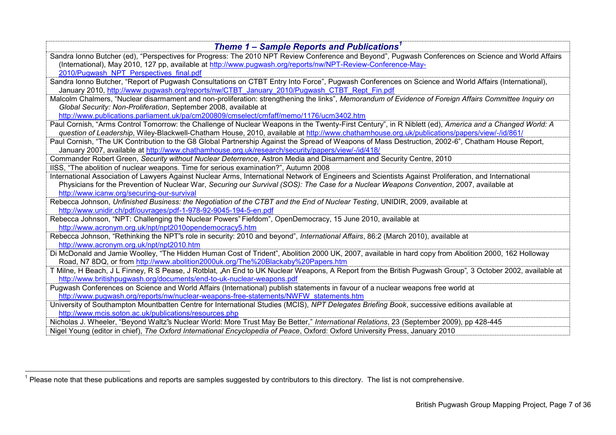| Theme 1 – Sample Reports and Publications <sup>1</sup>                                                                                                    |  |
|-----------------------------------------------------------------------------------------------------------------------------------------------------------|--|
| Sandra Ionno Butcher (ed), "Perspectives for Progress: The 2010 NPT Review Conference and Beyond", Pugwash Conferences on Science and World Affairs       |  |
| (International), May 2010, 127 pp, available at http://www.pugwash.org/reports/nw/NPT-Review-Conference-May-                                              |  |
| 2010/Pugwash NPT Perspectives final.pdf                                                                                                                   |  |
| Sandra Ionno Butcher, "Report of Pugwash Consultations on CTBT Entry Into Force", Pugwash Conferences on Science and World Affairs (International),       |  |
| January 2010, http://www.pugwash.org/reports/nw/CTBT January 2010/Pugwash CTBT Rept Fin.pdf                                                               |  |
| Malcolm Chalmers, "Nuclear disarmament and non-proliferation: strengthening the links", Memorandum of Evidence of Foreign Affairs Committee Inquiry on    |  |
| Global Security: Non-Proliferation, September 2008, available at                                                                                          |  |
| http://www.publications.parliament.uk/pa/cm200809/cmselect/cmfaff/memo/1176/ucm3402.htm                                                                   |  |
| Paul Cornish, "Arms Control Tomorrow: the Challenge of Nuclear Weapons in the Twenty-First Century", in R Niblett (ed), America and a Changed World: A    |  |
| question of Leadership, Wiley-Blackwell-Chatham House, 2010, available at http://www.chathamhouse.org.uk/publications/papers/view/-/id/861/               |  |
| Paul Cornish, "The UK Contribution to the G8 Global Partnership Against the Spread of Weapons of Mass Destruction, 2002-6", Chatham House Report,         |  |
| January 2007, available at http://www.chathamhouse.org.uk/research/security/papers/view/-/id/418/                                                         |  |
| Commander Robert Green, Security without Nuclear Deterrence, Astron Media and Disarmament and Security Centre, 2010                                       |  |
| IISS, "The abolition of nuclear weapons. Time for serious examination?", Autumn 2008                                                                      |  |
| International Association of Lawyers Against Nuclear Arms, International Network of Engineers and Scientists Against Proliferation, and International     |  |
| Physicians for the Prevention of Nuclear War, Securing our Survival (SOS): The Case for a Nuclear Weapons Convention, 2007, available at                  |  |
| http://www.icanw.org/securing-our-survival                                                                                                                |  |
| Rebecca Johnson, Unfinished Business: the Negotiation of the CTBT and the End of Nuclear Testing, UNIDIR, 2009, available at                              |  |
| http://www.unidir.ch/pdf/ouvrages/pdf-1-978-92-9045-194-5-en.pdf                                                                                          |  |
| Rebecca Johnson, "NPT: Challenging the Nuclear Powers" Fiefdom", OpenDemocracy, 15 June 2010, available at                                                |  |
| http://www.acronym.org.uk/npt/npt2010opendemocracy5.htm                                                                                                   |  |
| Rebecca Johnson, "Rethinking the NPT"s role in security: 2010 and beyond", International Affairs, 86:2 (March 2010), available at                         |  |
| http://www.acronym.org.uk/npt/npt2010.htm                                                                                                                 |  |
| Di McDonald and Jamie Woolley, "The Hidden Human Cost of Trident", Abolition 2000 UK, 2007, available in hard copy from Abolition 2000, 162 Holloway      |  |
| Road, N7 8DQ, or from http://www.abolition2000uk.org/The%20Blackaby%20Papers.htm                                                                          |  |
| T Milne, H Beach, J L Finney, R S Pease, J Rotblat, "An End to UK Nuclear Weapons, A Report from the British Pugwash Group", 3 October 2002, available at |  |
| http://www.britishpugwash.org/documents/end-to-uk-nuclear-weapons.pdf                                                                                     |  |
| Pugwash Conferences on Science and World Affairs (International) publish statements in favour of a nuclear weapons free world at                          |  |
| http://www.pugwash.org/reports/nw/nuclear-weapons-free-statements/NWFW statements.htm                                                                     |  |
| University of Southampton Mountbatten Centre for International Studies (MCIS), NPT Delegates Briefing Book, successive editions available at              |  |
| http://www.mcis.soton.ac.uk/publications/resources.php                                                                                                    |  |
| Nicholas J. Wheeler, "Beyond Waltz"s Nuclear World: More Trust May Be Better," International Relations, 23 (September 2009), pp 428-445                   |  |
| Nigel Young (editor in chief), The Oxford International Encyclopedia of Peace, Oxford: Oxford University Press, January 2010                              |  |

<sup>————————————————————&</sup>lt;br><sup>1</sup> Please note that these publications and reports are samples suggested by contributors to this directory. The list is not comprehensive.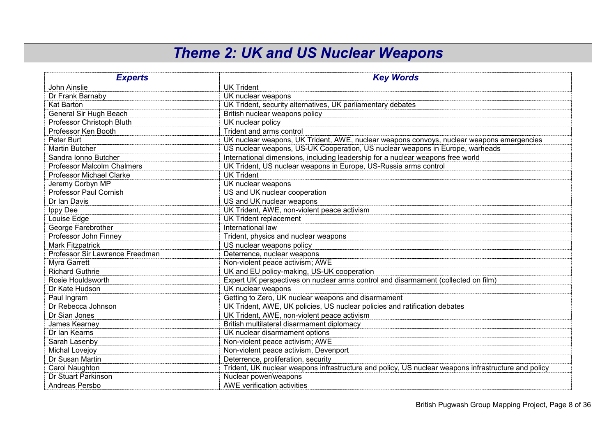### *Theme 2: UK and US Nuclear Weapons*

| <b>Experts</b>                  | <b>Key Words</b>                                                                                    |
|---------------------------------|-----------------------------------------------------------------------------------------------------|
| John Ainslie                    | <b>UK Trident</b>                                                                                   |
| Dr Frank Barnaby                | UK nuclear weapons                                                                                  |
| <b>Kat Barton</b>               | UK Trident, security alternatives, UK parliamentary debates                                         |
| General Sir Hugh Beach          | British nuclear weapons policy                                                                      |
| Professor Christoph Bluth       | UK nuclear policy                                                                                   |
| Professor Ken Booth             | Trident and arms control                                                                            |
| Peter Burt                      | UK nuclear weapons, UK Trident, AWE, nuclear weapons convoys, nuclear weapons emergencies           |
| <b>Martin Butcher</b>           | US nuclear weapons, US-UK Cooperation, US nuclear weapons in Europe, warheads                       |
| Sandra Ionno Butcher            | International dimensions, including leadership for a nuclear weapons free world                     |
| Professor Malcolm Chalmers      | UK Trident, US nuclear weapons in Europe, US-Russia arms control                                    |
| <b>Professor Michael Clarke</b> | <b>UK Trident</b>                                                                                   |
| Jeremy Corbyn MP                | UK nuclear weapons                                                                                  |
| <b>Professor Paul Cornish</b>   | US and UK nuclear cooperation                                                                       |
| Dr Ian Davis                    | US and UK nuclear weapons                                                                           |
| Ippy Dee                        | UK Trident, AWE, non-violent peace activism                                                         |
| Louise Edge                     | <b>UK Trident replacement</b>                                                                       |
| George Farebrother              | International law                                                                                   |
| Professor John Finney           | Trident, physics and nuclear weapons                                                                |
| Mark Fitzpatrick                | US nuclear weapons policy                                                                           |
| Professor Sir Lawrence Freedman | Deterrence, nuclear weapons                                                                         |
| Myra Garrett                    | Non-violent peace activism; AWE                                                                     |
| <b>Richard Guthrie</b>          | UK and EU policy-making, US-UK cooperation                                                          |
| Rosie Houldsworth               | Expert UK perspectives on nuclear arms control and disarmament (collected on film)                  |
| Dr Kate Hudson                  | UK nuclear weapons                                                                                  |
| Paul Ingram                     | Getting to Zero, UK nuclear weapons and disarmament                                                 |
| Dr Rebecca Johnson              | UK Trident, AWE, UK policies, US nuclear policies and ratification debates                          |
| Dr Sian Jones                   | UK Trident, AWE, non-violent peace activism                                                         |
| James Kearney                   | British multilateral disarmament diplomacy                                                          |
| Dr Ian Kearns                   | UK nuclear disarmament options                                                                      |
| Sarah Lasenby                   | Non-violent peace activism; AWE                                                                     |
| Michal Lovejoy                  | Non-violent peace activism, Devenport                                                               |
| Dr Susan Martin                 | Deterrence, proliferation, security                                                                 |
| Carol Naughton                  | Trident, UK nuclear weapons infrastructure and policy, US nuclear weapons infrastructure and policy |
| Dr Stuart Parkinson             | Nuclear power/weapons                                                                               |
| Andreas Persbo                  | AWE verification activities                                                                         |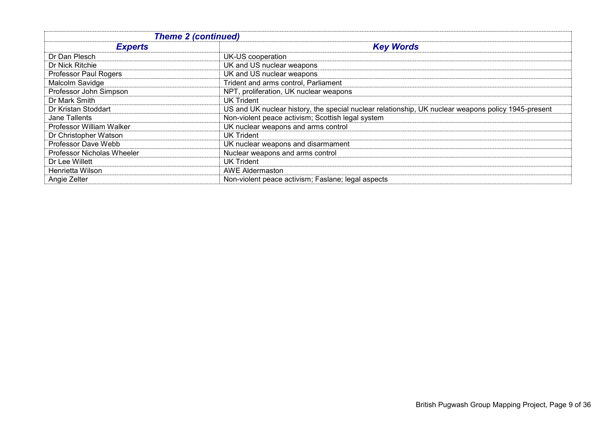| <b>Theme 2 (continued)</b>   |                                                                                                     |
|------------------------------|-----------------------------------------------------------------------------------------------------|
| <b>Experts</b>               | <b>Key Words</b>                                                                                    |
| Dr Dan Plesch                | UK-US cooperation                                                                                   |
| Dr Nick Ritchie              | UK and US nuclear weapons                                                                           |
| <b>Professor Paul Rogers</b> | UK and US nuclear weapons                                                                           |
| Malcolm Savidge              | Trident and arms control, Parliament                                                                |
| Professor John Simpson       | NPT, proliferation, UK nuclear weapons                                                              |
| Dr Mark Smith                | <b>UK Trident</b>                                                                                   |
| Dr Kristan Stoddart          | US and UK nuclear history, the special nuclear relationship, UK nuclear weapons policy 1945-present |
| Jane Tallents                | Non-violent peace activism; Scottish legal system                                                   |
| Professor William Walker     | UK nuclear weapons and arms control                                                                 |
| Dr Christopher Watson        | <b>UK Trident</b>                                                                                   |
| Professor Dave Webb          | UK nuclear weapons and disarmament                                                                  |
| Professor Nicholas Wheeler   | Nuclear weapons and arms control                                                                    |
| Dr Lee Willett               | <b>UK Trident</b>                                                                                   |
| Henrietta Wilson             | <b>AWE Aldermaston</b>                                                                              |
| Angie Zelter                 | Non-violent peace activism; Faslane; legal aspects                                                  |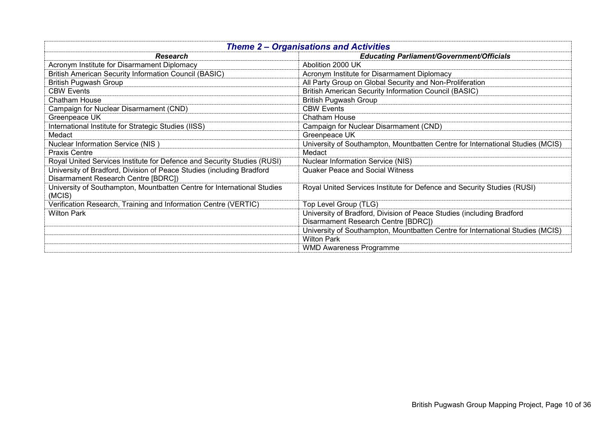| <b>Theme 2 – Organisations and Activities</b>                           |                                                                                |
|-------------------------------------------------------------------------|--------------------------------------------------------------------------------|
| <b>Research</b>                                                         | <b>Educating Parliament/Government/Officials</b>                               |
| Acronym Institute for Disarmament Diplomacy                             | Abolition 2000 UK                                                              |
| <b>British American Security Information Council (BASIC)</b>            | Acronym Institute for Disarmament Diplomacy                                    |
| British Pugwash Group                                                   | All Party Group on Global Security and Non-Proliferation                       |
| <b>CBW Events</b>                                                       | <b>British American Security Information Council (BASIC)</b>                   |
| <b>Chatham House</b>                                                    | <b>British Pugwash Group</b>                                                   |
| Campaign for Nuclear Disarmament (CND)                                  | <b>CBW Events</b>                                                              |
| Greenpeace UK                                                           | Chatham House                                                                  |
| International Institute for Strategic Studies (IISS)                    | Campaign for Nuclear Disarmament (CND)                                         |
| Medact                                                                  | Greenpeace UK                                                                  |
| Nuclear Information Service (NIS)                                       | University of Southampton, Mountbatten Centre for International Studies (MCIS) |
| <b>Praxis Centre</b>                                                    | Medact                                                                         |
| Royal United Services Institute for Defence and Security Studies (RUSI) | <b>Nuclear Information Service (NIS)</b>                                       |
| University of Bradford, Division of Peace Studies (including Bradford   | <b>Quaker Peace and Social Witness</b>                                         |
| Disarmament Research Centre [BDRC])                                     |                                                                                |
| University of Southampton, Mountbatten Centre for International Studies | Royal United Services Institute for Defence and Security Studies (RUSI)        |
| (MCIS)                                                                  |                                                                                |
| Verification Research, Training and Information Centre (VERTIC)         | Top Level Group (TLG)                                                          |
| <b>Wilton Park</b>                                                      | University of Bradford, Division of Peace Studies (including Bradford          |
|                                                                         | Disarmament Research Centre [BDRC])                                            |
|                                                                         | University of Southampton, Mountbatten Centre for International Studies (MCIS) |
|                                                                         | <b>Wilton Park</b>                                                             |
|                                                                         | <b>WMD Awareness Programme</b>                                                 |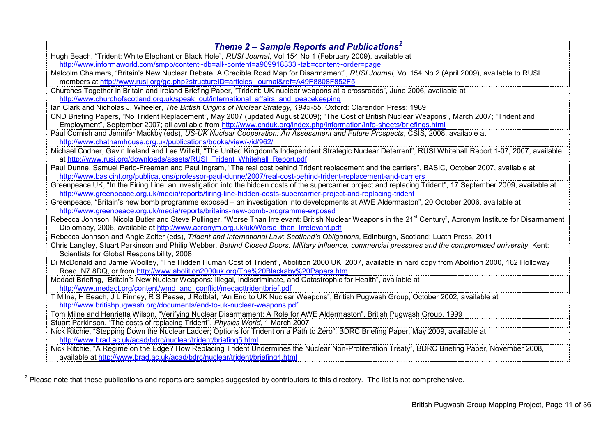| Theme 2 – Sample Reports and Publications <sup>2</sup>                                                                                                                                               |
|------------------------------------------------------------------------------------------------------------------------------------------------------------------------------------------------------|
| Hugh Beach, "Trident: White Elephant or Black Hole", RUSI Journal, Vol 154 No 1 (February 2009), available at                                                                                        |
| http://www.informaworld.com/smpp/content~db=all~content=a909918333~tab=content~order=page                                                                                                            |
| Malcolm Chalmers, "Britain's New Nuclear Debate: A Credible Road Map for Disarmament", RUSI Journal, Vol 154 No 2 (April 2009), available to RUSI                                                    |
| members at http://www.rusi.org/go.php?structureID=articles_journal&ref=A49F8808F852F5                                                                                                                |
| Churches Together in Britain and Ireland Briefing Paper, "Trident: UK nuclear weapons at a crossroads", June 2006, available at                                                                      |
| http://www.churchofscotland.org.uk/speak out/international affairs and peacekeeping                                                                                                                  |
| Ian Clark and Nicholas J. Wheeler, The British Origins of Nuclear Strategy, 1945-55, Oxford: Clarendon Press: 1989                                                                                   |
| CND Briefing Papers, "No Trident Replacement", May 2007 (updated August 2009); "The Cost of British Nuclear Weapons", March 2007; "Trident and                                                       |
| Employment", September 2007; all available from http://www.cnduk.org/index.php/information/info-sheets/briefings.html                                                                                |
| Paul Cornish and Jennifer Mackby (eds), US-UK Nuclear Cooperation: An Assessment and Future Prospects, CSIS, 2008, available at                                                                      |
| http://www.chathamhouse.org.uk/publications/books/view/-/id/962/                                                                                                                                     |
| Michael Codner, Gavin Ireland and Lee Willett, "The United Kingdom"s Independent Strategic Nuclear Deterrent", RUSI Whitehall Report 1-07, 2007, available                                           |
| at http://www.rusi.org/downloads/assets/RUSI Trident Whitehall Report.pdf                                                                                                                            |
| Paul Dunne, Samuel Perlo-Freeman and Paul Ingram, "The real cost behind Trident replacement and the carriers", BASIC, October 2007, available at                                                     |
| http://www.basicint.org/publications/professor-paul-dunne/2007/real-cost-behind-trident-replacement-and-carriers                                                                                     |
| Greenpeace UK, "In the Firing Line: an investigation into the hidden costs of the supercarrier project and replacing Trident", 17 September 2009, available at                                       |
| http://www.greenpeace.org.uk/media/reports/firing-line-hidden-costs-supercarrier-project-and-replacing-trident                                                                                       |
| Greenpeace, "Britain"s new bomb programme exposed - an investigation into developments at AWE Aldermaston", 20 October 2006, available at                                                            |
| http://www.greenpeace.org.uk/media/reports/britains-new-bomb-programme-exposed                                                                                                                       |
| Rebecca Johnson, Nicola Butler and Steve Pullinger, "Worse Than Irrelevant: British Nuclear Weapons in the 21 <sup>st</sup> Century", Acronym Institute for Disarmament                              |
| Diplomacy, 2006, available at http://www.acronym.org.uk/uk/Worse than Irrelevant.pdf                                                                                                                 |
| Rebecca Johnson and Angie Zelter (eds), Trident and International Law: Scotland's Obligations, Edinburgh, Scotland: Luath Press, 2011                                                                |
| Chris Langley, Stuart Parkinson and Philip Webber, Behind Closed Doors: Military influence, commercial pressures and the compromised university, Kent:<br>Scientists for Global Responsibility, 2008 |
| Di McDonald and Jamie Woolley, "The Hidden Human Cost of Trident", Abolition 2000 UK, 2007, available in hard copy from Abolition 2000, 162 Holloway                                                 |
| Road, N7 8DQ, or from http://www.abolition2000uk.org/The%20Blackaby%20Papers.htm                                                                                                                     |
| Medact Briefing, "Britain"s New Nuclear Weapons: Illegal, Indiscriminate, and Catastrophic for Health", available at                                                                                 |
| http://www.medact.org/content/wmd and conflict/medacttridentbrief.pdf                                                                                                                                |
| T Milne, H Beach, J L Finney, R S Pease, J Rotblat, "An End to UK Nuclear Weapons", British Pugwash Group, October 2002, available at                                                                |
| http://www.britishpugwash.org/documents/end-to-uk-nuclear-weapons.pdf                                                                                                                                |
| Tom Milne and Henrietta Wilson, "Verifying Nuclear Disarmament: A Role for AWE Aldermaston", British Pugwash Group, 1999                                                                             |
| Stuart Parkinson, "The costs of replacing Trident", Physics World, 1 March 2007                                                                                                                      |
| Nick Ritchie, "Stepping Down the Nuclear Ladder; Options for Trident on a Path to Zero", BDRC Briefing Paper, May 2009, available at                                                                 |
| http://www.brad.ac.uk/acad/bdrc/nuclear/trident/briefing5.html                                                                                                                                       |
| Nick Ritchie, "A Regime on the Edge? How Replacing Trident Undermines the Nuclear Non-Proliferation Treaty", BDRC Briefing Paper, November 2008,                                                     |
| available at http://www.brad.ac.uk/acad/bdrc/nuclear/trident/briefing4.html                                                                                                                          |

 2 Please note that these publications and reports are samples suggested by contributors to this directory. The list is not comprehensive.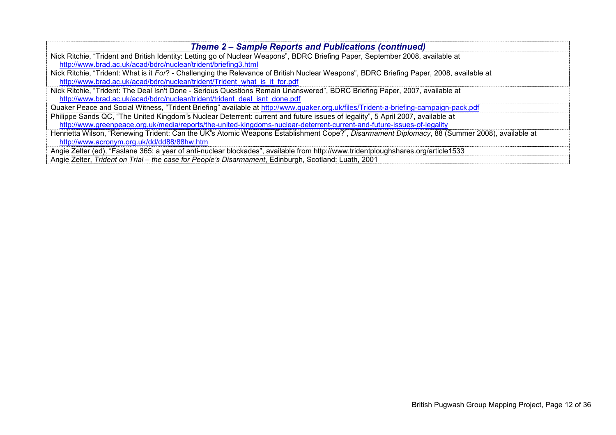| <b>Theme 2 – Sample Reports and Publications (continued)</b>                                                                                 |
|----------------------------------------------------------------------------------------------------------------------------------------------|
| Nick Ritchie, "Trident and British Identity: Letting go of Nuclear Weapons", BDRC Briefing Paper, September 2008, available at               |
| http://www.brad.ac.uk/acad/bdrc/nuclear/trident/briefing3.html                                                                               |
| Nick Ritchie, "Trident: What is it For? - Challenging the Relevance of British Nuclear Weapons", BDRC Briefing Paper, 2008, available at     |
| http://www.brad.ac.uk/acad/bdrc/nuclear/trident/Trident what is it for.pdf                                                                   |
| Nick Ritchie, "Trident: The Deal Isn't Done - Serious Questions Remain Unanswered", BDRC Briefing Paper, 2007, available at                  |
| http://www.brad.ac.uk/acad/bdrc/nuclear/trident/trident_deal_isnt_done.pdf                                                                   |
| Quaker Peace and Social Witness, "Trident Briefing" available at http://www.quaker.org.uk/files/Trident-a-briefing-campaign-pack.pdf         |
| Philippe Sands QC, "The United Kingdom"s Nuclear Deterrent: current and future issues of legality", 5 April 2007, available at               |
| http://www.greenpeace.org.uk/media/reports/the-united-kingdoms-nuclear-deterrent-current-and-future-issues-of-legality                       |
| Henrietta Wilson, "Renewing Trident: Can the UK"s Atomic Weapons Establishment Cope?", Disarmament Diplomacy, 88 (Summer 2008), available at |
| http://www.acronym.org.uk/dd/dd88/88hw.htm                                                                                                   |
| Angie Zelter (ed), "Faslane 365: a year of anti-nuclear blockades", available from http://www.tridentploughshares.org/article1533            |
| Angie Zelter, Trident on Trial - the case for People's Disarmament, Edinburgh, Scotland: Luath, 2001                                         |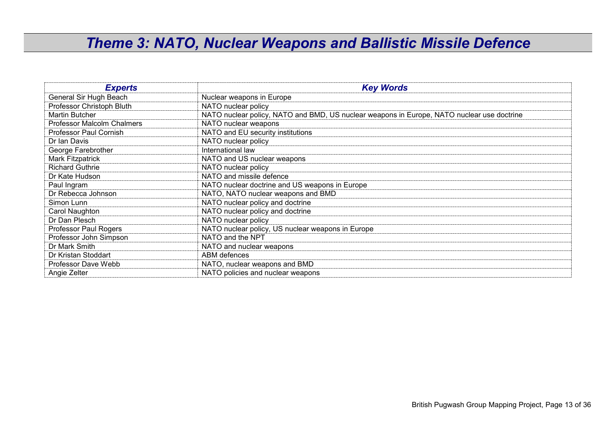#### *Theme 3: NATO, Nuclear Weapons and Ballistic Missile Defence*

| <b>Experts</b>                    | <b>Key Words</b>                                                                           |
|-----------------------------------|--------------------------------------------------------------------------------------------|
| General Sir Hugh Beach            | Nuclear weapons in Europe                                                                  |
| Professor Christoph Bluth         | NATO nuclear policy                                                                        |
| Martin Butcher                    | NATO nuclear policy, NATO and BMD, US nuclear weapons in Europe, NATO nuclear use doctrine |
| <b>Professor Malcolm Chalmers</b> | NATO nuclear weapons                                                                       |
| Professor Paul Cornish            | NATO and EU security institutions                                                          |
| Dr Ian Davis                      | NATO nuclear policy                                                                        |
| George Farebrother                | International law                                                                          |
| Mark Fitzpatrick                  | NATO and US nuclear weapons                                                                |
| <b>Richard Guthrie</b>            | NATO nuclear policy                                                                        |
| Dr Kate Hudson                    | NATO and missile defence                                                                   |
| Paul Ingram                       | NATO nuclear doctrine and US weapons in Europe                                             |
| Dr Rebecca Johnson                | NATO, NATO nuclear weapons and BMD                                                         |
| Simon Lunn                        | NATO nuclear policy and doctrine                                                           |
| Carol Naughton                    | NATO nuclear policy and doctrine                                                           |
| Dr Dan Plesch                     | NATO nuclear policy                                                                        |
| Professor Paul Rogers             | NATO nuclear policy, US nuclear weapons in Europe                                          |
| Professor John Simpson            | NATO and the NPT                                                                           |
| Dr Mark Smith                     | NATO and nuclear weapons                                                                   |
| Dr Kristan Stoddart               | ABM defences                                                                               |
| Professor Dave Webb               | NATO, nuclear weapons and BMD                                                              |
| Angie Zelter                      | NATO policies and nuclear weapons                                                          |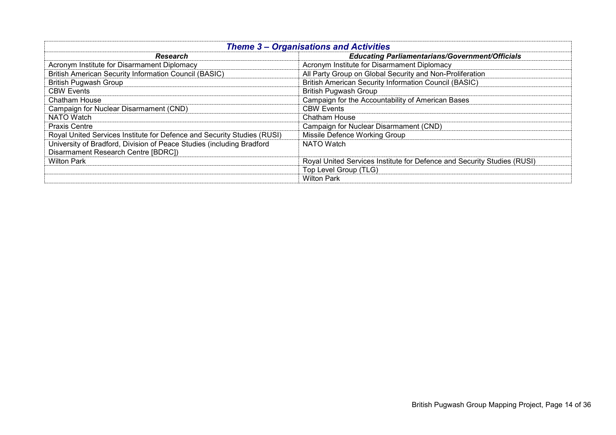| <b>Theme 3 – Organisations and Activities</b>                           |                                                                         |
|-------------------------------------------------------------------------|-------------------------------------------------------------------------|
| Research                                                                | <b>Educating Parliamentarians/Government/Officials</b>                  |
| Acronym Institute for Disarmament Diplomacy                             | Acronym Institute for Disarmament Diplomacy                             |
| <b>British American Security Information Council (BASIC)</b>            | All Party Group on Global Security and Non-Proliferation                |
| <b>British Pugwash Group</b>                                            | <b>British American Security Information Council (BASIC)</b>            |
| <b>CBW Events</b>                                                       | <b>British Pugwash Group</b>                                            |
| <b>Chatham House</b>                                                    | Campaign for the Accountability of American Bases                       |
| Campaign for Nuclear Disarmament (CND)                                  | <b>CBW Events</b>                                                       |
| <b>NATO Watch</b>                                                       | <b>Chatham House</b>                                                    |
| <b>Praxis Centre</b>                                                    | Campaign for Nuclear Disarmament (CND)                                  |
| Royal United Services Institute for Defence and Security Studies (RUSI) | Missile Defence Working Group                                           |
| University of Bradford, Division of Peace Studies (including Bradford   | NATO Watch                                                              |
| Disarmament Research Centre [BDRC])                                     |                                                                         |
| <b>Wilton Park</b>                                                      | Royal United Services Institute for Defence and Security Studies (RUSI) |
|                                                                         | Top Level Group (TLG)                                                   |
|                                                                         | <b>Wilton Park</b>                                                      |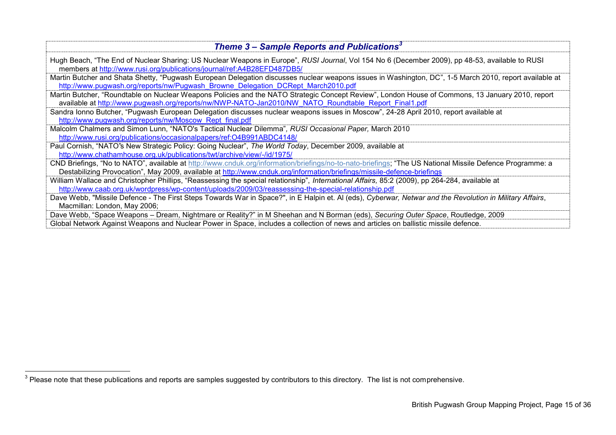| Theme 3 – Sample Reports and Publications <sup>3</sup>                                                                                                                                                                                                                              |
|-------------------------------------------------------------------------------------------------------------------------------------------------------------------------------------------------------------------------------------------------------------------------------------|
| Hugh Beach, "The End of Nuclear Sharing: US Nuclear Weapons in Europe", RUSI Journal, Vol 154 No 6 (December 2009), pp 48-53, available to RUSI<br>members at http://www.rusi.org/publications/journal/ref:A4B28EFD487DB5/                                                          |
| Martin Butcher and Shata Shetty, "Pugwash European Delegation discusses nuclear weapons issues in Washington, DC", 1-5 March 2010, report available at<br>http://www.pugwash.org/reports/nw/Pugwash_Browne_Delegation_DCRept_March2010.pdf                                          |
| Martin Butcher, "Roundtable on Nuclear Weapons Policies and the NATO Strategic Concept Review", London House of Commons, 13 January 2010, report<br>available at http://www.pugwash.org/reports/nw/NWP-NATO-Jan2010/NW_NATO_Roundtable_Report_Final1.pdf                            |
| Sandra Ionno Butcher, "Pugwash European Delegation discusses nuclear weapons issues in Moscow", 24-28 April 2010, report available at                                                                                                                                               |
| http://www.pugwash.org/reports/nw/Moscow Rept final.pdf<br>Malcolm Chalmers and Simon Lunn, "NATO's Tactical Nuclear Dilemma", RUSI Occasional Paper, March 2010<br>http://www.rusi.org/publications/occasionalpapers/ref:O4B991ABDC4148/                                           |
| Paul Cornish, "NATO"s New Strategic Policy: Going Nuclear", The World Today, December 2009, available at<br>http://www.chathamhouse.org.uk/publications/twt/archive/view/-/id/1975/                                                                                                 |
| CND Briefings, "No to NATO", available at http://www.cnduk.org/information/briefings/no-to-nato-briefings; "The US National Missile Defence Programme: a<br>Destabilizing Provocation", May 2009, available at http://www.cnduk.org/information/briefings/missile-defence-briefings |
| William Wallace and Christopher Phillips, "Reassessing the special relationship", International Affairs, 85:2 (2009), pp 264-284, available at<br>http://www.caab.org.uk/wordpress/wp-content/uploads/2009/03/reassessing-the-special-relationship.pdf                              |
| Dave Webb, "Missile Defence - The First Steps Towards War in Space?", in E Halpin et. Al (eds), Cyberwar, Netwar and the Revolution in Military Affairs,<br>Macmillan: London, May 2006;                                                                                            |
| Dave Webb, "Space Weapons - Dream, Nightmare or Reality?" in M Sheehan and N Borman (eds), Securing Outer Space, Routledge, 2009<br>Global Network Against Weapons and Nuclear Power in Space, includes a collection of news and articles on ballistic missile defence.             |

 3 Please note that these publications and reports are samples suggested by contributors to this directory. The list is not comprehensive.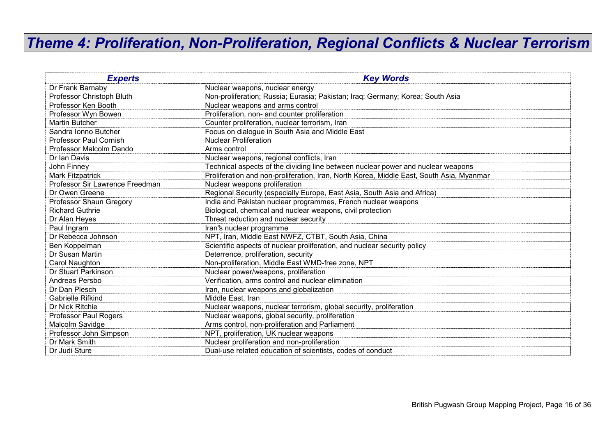### *Theme 4: Proliferation, Non-Proliferation, Regional Conflicts & Nuclear Terrorism*

| <b>Experts</b>                  | <b>Key Words</b>                                                                         |
|---------------------------------|------------------------------------------------------------------------------------------|
| Dr Frank Barnaby                | Nuclear weapons, nuclear energy                                                          |
| Professor Christoph Bluth       | Non-proliferation; Russia; Eurasia; Pakistan; Iraq; Germany; Korea; South Asia           |
| Professor Ken Booth             | Nuclear weapons and arms control                                                         |
| Professor Wyn Bowen             | Proliferation, non- and counter proliferation                                            |
| Martin Butcher                  | Counter proliferation, nuclear terrorism, Iran                                           |
| Sandra Ionno Butcher            | Focus on dialogue in South Asia and Middle East                                          |
| <b>Professor Paul Cornish</b>   | <b>Nuclear Proliferation</b>                                                             |
| Professor Malcolm Dando         | Arms control                                                                             |
| Dr Ian Davis                    | Nuclear weapons, regional conflicts, Iran                                                |
| John Finney                     | Technical aspects of the dividing line between nuclear power and nuclear weapons         |
| Mark Fitzpatrick                | Proliferation and non-proliferation, Iran, North Korea, Middle East, South Asia, Myanmar |
| Professor Sir Lawrence Freedman | Nuclear weapons proliferation                                                            |
| Dr Owen Greene                  | Regional Security (especially Europe, East Asia, South Asia and Africa)                  |
| Professor Shaun Gregory         | India and Pakistan nuclear programmes, French nuclear weapons                            |
| <b>Richard Guthrie</b>          | Biological, chemical and nuclear weapons, civil protection                               |
| Dr Alan Heyes                   | Threat reduction and nuclear security                                                    |
| Paul Ingram                     | Iran's nuclear programme                                                                 |
| Dr Rebecca Johnson              | NPT, Iran, Middle East NWFZ, CTBT, South Asia, China                                     |
| Ben Koppelman                   | Scientific aspects of nuclear proliferation, and nuclear security policy                 |
| Dr Susan Martin                 | Deterrence, proliferation, security                                                      |
| Carol Naughton                  | Non-proliferation, Middle East WMD-free zone, NPT                                        |
| Dr Stuart Parkinson             | Nuclear power/weapons, proliferation                                                     |
| Andreas Persbo                  | Verification, arms control and nuclear elimination                                       |
| Dr Dan Plesch                   | Iran, nuclear weapons and globalization                                                  |
| <b>Gabrielle Rifkind</b>        | Middle East, Iran                                                                        |
| Dr Nick Ritchie                 | Nuclear weapons, nuclear terrorism, global security, proliferation                       |
| <b>Professor Paul Rogers</b>    | Nuclear weapons, global security, proliferation                                          |
| Malcolm Savidge                 | Arms control, non-proliferation and Parliament                                           |
| Professor John Simpson          | NPT, proliferation, UK nuclear weapons                                                   |
| Dr Mark Smith                   | Nuclear proliferation and non-proliferation                                              |
| Dr Judi Sture                   | Dual-use related education of scientists, codes of conduct                               |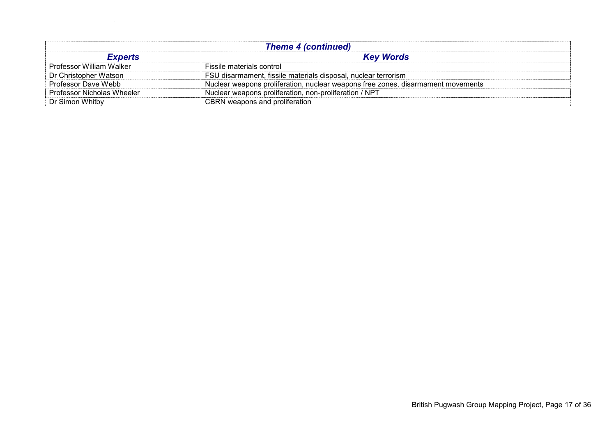| <b>Theme 4 (continued)</b> |                                                                                  |  |
|----------------------------|----------------------------------------------------------------------------------|--|
| <b>Experts</b>             | <b>Key Words</b>                                                                 |  |
| Professor William Walker   | Fissile materials control                                                        |  |
| Dr Christopher Watson      | FSU disarmament, fissile materials disposal, nuclear terrorism                   |  |
| Professor Dave Webb        | Nuclear weapons proliferation, nuclear weapons free zones, disarmament movements |  |
| Professor Nicholas Wheeler | Nuclear weapons proliferation, non-proliferation / NPT                           |  |
| Dr Simon Whitby            | CBRN weapons and proliferation                                                   |  |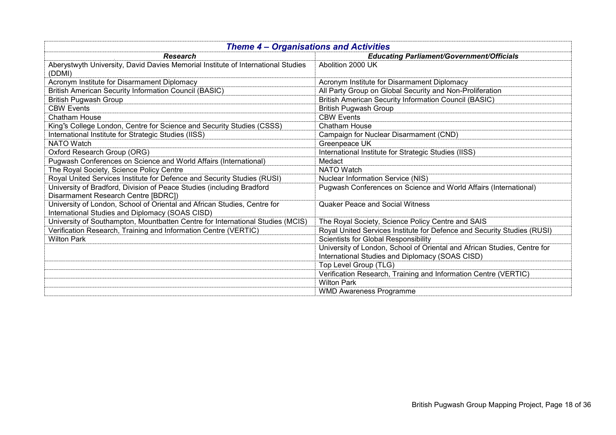| <b>Theme 4 - Organisations and Activities</b>                                                                               |                                                                          |  |
|-----------------------------------------------------------------------------------------------------------------------------|--------------------------------------------------------------------------|--|
| <b>Research</b>                                                                                                             | <b>Educating Parliament/Government/Officials</b>                         |  |
| Aberystwyth University, David Davies Memorial Institute of International Studies<br>(DDMI)                                  | Abolition 2000 UK                                                        |  |
| Acronym Institute for Disarmament Diplomacy                                                                                 | Acronym Institute for Disarmament Diplomacy                              |  |
| <b>British American Security Information Council (BASIC)</b>                                                                | All Party Group on Global Security and Non-Proliferation                 |  |
| <b>British Pugwash Group</b>                                                                                                | <b>British American Security Information Council (BASIC)</b>             |  |
| <b>CBW Events</b>                                                                                                           | <b>British Pugwash Group</b>                                             |  |
| Chatham House                                                                                                               | <b>CBW Events</b>                                                        |  |
| King's College London, Centre for Science and Security Studies (CSSS)                                                       | Chatham House                                                            |  |
| International Institute for Strategic Studies (IISS)                                                                        | Campaign for Nuclear Disarmament (CND)                                   |  |
| <b>NATO Watch</b>                                                                                                           | Greenpeace UK                                                            |  |
| Oxford Research Group (ORG)                                                                                                 | International Institute for Strategic Studies (IISS)                     |  |
| Pugwash Conferences on Science and World Affairs (International)                                                            | Medact                                                                   |  |
| The Royal Society, Science Policy Centre                                                                                    | <b>NATO</b> Watch                                                        |  |
| Royal United Services Institute for Defence and Security Studies (RUSI)                                                     | <b>Nuclear Information Service (NIS)</b>                                 |  |
| University of Bradford, Division of Peace Studies (including Bradford<br>Disarmament Research Centre [BDRC])                | Pugwash Conferences on Science and World Affairs (International)         |  |
| University of London, School of Oriental and African Studies, Centre for<br>International Studies and Diplomacy (SOAS CISD) | <b>Quaker Peace and Social Witness</b>                                   |  |
| University of Southampton, Mountbatten Centre for International Studies (MCIS)                                              | The Royal Society, Science Policy Centre and SAIS                        |  |
| Verification Research, Training and Information Centre (VERTIC)                                                             | Royal United Services Institute for Defence and Security Studies (RUSI)  |  |
| <b>Wilton Park</b>                                                                                                          | Scientists for Global Responsibility                                     |  |
|                                                                                                                             | University of London, School of Oriental and African Studies, Centre for |  |
|                                                                                                                             | International Studies and Diplomacy (SOAS CISD)                          |  |
|                                                                                                                             | Top Level Group (TLG)                                                    |  |
|                                                                                                                             | Verification Research, Training and Information Centre (VERTIC)          |  |
|                                                                                                                             | <b>Wilton Park</b>                                                       |  |
|                                                                                                                             | <b>WMD Awareness Programme</b>                                           |  |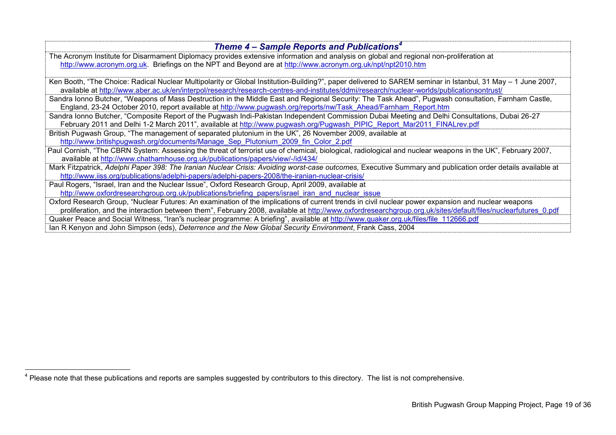| Theme 4 – Sample Reports and Publications <sup>4</sup>                                                                                                       |
|--------------------------------------------------------------------------------------------------------------------------------------------------------------|
| The Acronym Institute for Disarmament Diplomacy provides extensive information and analysis on global and regional non-proliferation at                      |
| http://www.acronym.org.uk. Briefings on the NPT and Beyond are at http://www.acronym.org.uk/npt/npt2010.htm                                                  |
|                                                                                                                                                              |
| Ken Booth, "The Choice: Radical Nuclear Multipolarity or Global Institution-Building?", paper delivered to SAREM seminar in Istanbul, 31 May - 1 June 2007,  |
| available at http://www.aber.ac.uk/en/interpol/research/research-centres-and-institutes/ddmi/research/nuclear-worlds/publicationsontrust/                    |
| Sandra Ionno Butcher, "Weapons of Mass Destruction in the Middle East and Regional Security: The Task Ahead", Pugwash consultation, Farnham Castle,          |
| England, 23-24 October 2010, report available at http://www.pugwash.org/reports/nw/Task Ahead/Farnham Report.htm                                             |
| Sandra Ionno Butcher, "Composite Report of the Pugwash Indi-Pakistan Independent Commission Dubai Meeting and Delhi Consultations, Dubai 26-27               |
| February 2011 and Delhi 1-2 March 2011", available at http://www.pugwash.org/Pugwash PIPIC Report Mar2011 FINALrev.pdf                                       |
| British Pugwash Group, "The management of separated plutonium in the UK", 26 November 2009, available at                                                     |
| http://www.britishpugwash.org/documents/Manage Sep Plutonium 2009 fin Color 2.pdf                                                                            |
| Paul Cornish, "The CBRN System: Assessing the threat of terrorist use of chemical, biological, radiological and nuclear weapons in the UK", February 2007,   |
| available at http://www.chathamhouse.org.uk/publications/papers/view/-/id/434/                                                                               |
| Mark Fitzpatrick, Adelphi Paper 398: The Iranian Nuclear Crisis: Avoiding worst-case outcomes, Executive Summary and publication order details available at  |
| http://www.iiss.org/publications/adelphi-papers/adelphi-papers-2008/the-iranian-nuclear-crisis/                                                              |
| Paul Rogers, "Israel, Iran and the Nuclear Issue", Oxford Research Group, April 2009, available at                                                           |
| http://www.oxfordresearchgroup.org.uk/publications/briefing papers/israel iran and nuclear issue                                                             |
| Oxford Research Group, "Nuclear Futures: An examination of the implications of current trends in civil nuclear power expansion and nuclear weapons           |
| proliferation, and the interaction between them", February 2008, available at http://www.oxfordresearchgroup.org.uk/sites/default/files/nuclearfutures 0.pdf |
| Quaker Peace and Social Witness, "Iran"s nuclear programme: A briefing", available at http://www.quaker.org.uk/files/file 112666.pdf                         |
| Ian R Kenyon and John Simpson (eds), Deterrence and the New Global Security Environment, Frank Cass, 2004                                                    |

<sup>————————————————————&</sup>lt;br><sup>4</sup> Please note that these publications and reports are samples suggested by contributors to this directory. The list is not comprehensive.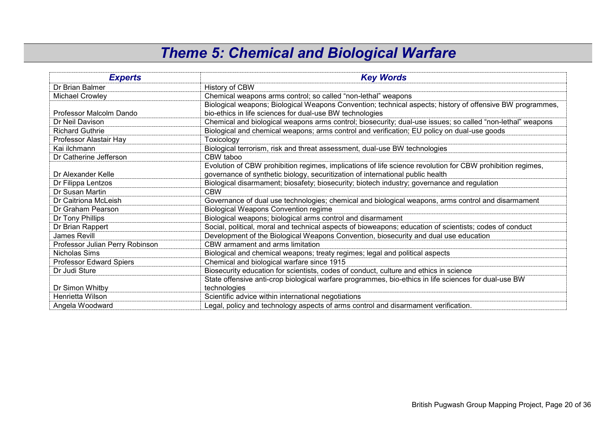### *Theme 5: Chemical and Biological Warfare*

| <b>Experts</b>                  | <b>Key Words</b>                                                                                           |
|---------------------------------|------------------------------------------------------------------------------------------------------------|
| Dr Brian Balmer                 | History of CBW                                                                                             |
| <b>Michael Crowley</b>          | Chemical weapons arms control; so called "non-lethal" weapons                                              |
|                                 | Biological weapons; Biological Weapons Convention; technical aspects; history of offensive BW programmes,  |
| Professor Malcolm Dando         | bio-ethics in life sciences for dual-use BW technologies                                                   |
| Dr Neil Davison                 | Chemical and biological weapons arms control; biosecurity; dual-use issues; so called "non-lethal" weapons |
| <b>Richard Guthrie</b>          | Biological and chemical weapons; arms control and verification; EU policy on dual-use goods                |
| Professor Alastair Hay          | Toxicology                                                                                                 |
| Kai ilchmann                    | Biological terrorism, risk and threat assessment, dual-use BW technologies                                 |
| Dr Catherine Jefferson          | CBW taboo                                                                                                  |
|                                 | Evolution of CBW prohibition regimes, implications of life science revolution for CBW prohibition regimes, |
| Dr Alexander Kelle              | governance of synthetic biology, securitization of international public health                             |
| Dr Filippa Lentzos              | Biological disarmament; biosafety; biosecurity; biotech industry; governance and regulation                |
| Dr Susan Martin                 | <b>CBW</b>                                                                                                 |
| Dr Caitriona McLeish            | Governance of dual use technologies; chemical and biological weapons, arms control and disarmament         |
| Dr Graham Pearson               | <b>Biological Weapons Convention regime</b>                                                                |
| Dr Tony Phillips                | Biological weapons; biological arms control and disarmament                                                |
| Dr Brian Rappert                | Social, political, moral and technical aspects of bioweapons; education of scientists; codes of conduct    |
| James Revill                    | Development of the Biological Weapons Convention, biosecurity and dual use education                       |
| Professor Julian Perry Robinson | CBW armament and arms limitation                                                                           |
| Nicholas Sims                   | Biological and chemical weapons; treaty regimes; legal and political aspects                               |
| <b>Professor Edward Spiers</b>  | Chemical and biological warfare since 1915                                                                 |
| Dr Judi Sture                   | Biosecurity education for scientists, codes of conduct, culture and ethics in science                      |
|                                 | State offensive anti-crop biological warfare programmes, bio-ethics in life sciences for dual-use BW       |
| Dr Simon Whitby                 | technologies                                                                                               |
| Henrietta Wilson                | Scientific advice within international negotiations                                                        |
| Angela Woodward                 | Legal, policy and technology aspects of arms control and disarmament verification.                         |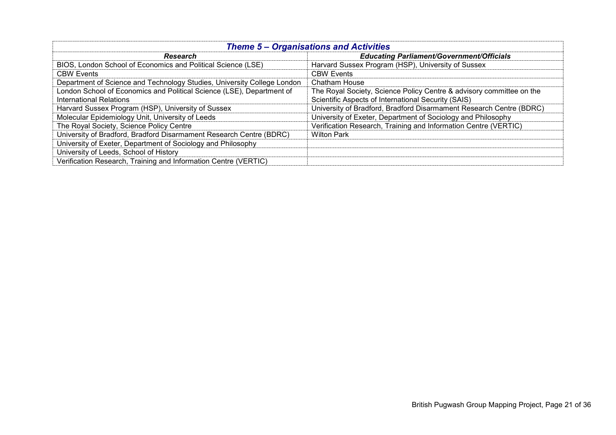| <b>Theme 5 - Organisations and Activities</b>                           |                                                                      |  |
|-------------------------------------------------------------------------|----------------------------------------------------------------------|--|
| <b>Research</b>                                                         | <b>Educating Parliament/Government/Officials</b>                     |  |
| BIOS, London School of Economics and Political Science (LSE)            | Harvard Sussex Program (HSP), University of Sussex                   |  |
| <b>CBW Events</b>                                                       | <b>CBW Events</b>                                                    |  |
| Department of Science and Technology Studies, University College London | Chatham House                                                        |  |
| London School of Economics and Political Science (LSE), Department of   | The Royal Society, Science Policy Centre & advisory committee on the |  |
| <b>International Relations</b>                                          | Scientific Aspects of International Security (SAIS)                  |  |
| Harvard Sussex Program (HSP), University of Sussex                      | University of Bradford, Bradford Disarmament Research Centre (BDRC)  |  |
| Molecular Epidemiology Unit, University of Leeds                        | University of Exeter, Department of Sociology and Philosophy         |  |
| The Royal Society, Science Policy Centre                                | Verification Research, Training and Information Centre (VERTIC)      |  |
| University of Bradford, Bradford Disarmament Research Centre (BDRC)     | <b>Wilton Park</b>                                                   |  |
| University of Exeter, Department of Sociology and Philosophy            |                                                                      |  |
| University of Leeds, School of History                                  |                                                                      |  |
| Verification Research, Training and Information Centre (VERTIC)         |                                                                      |  |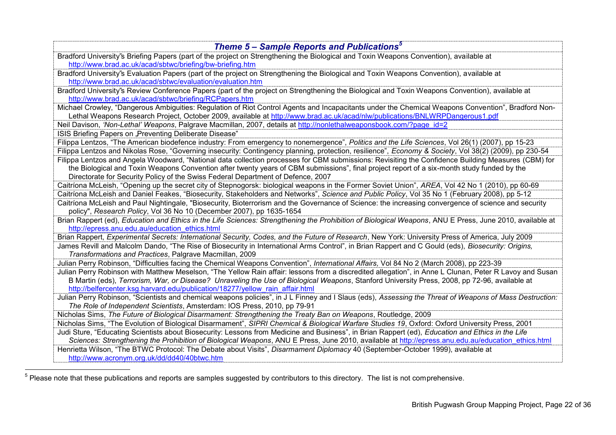| Theme 5 – Sample Reports and Publications <sup>5</sup>                                                                                                                                                                                                                                                                                                                                    |
|-------------------------------------------------------------------------------------------------------------------------------------------------------------------------------------------------------------------------------------------------------------------------------------------------------------------------------------------------------------------------------------------|
| Bradford University's Briefing Papers (part of the project on Strengthening the Biological and Toxin Weapons Convention), available at<br>http://www.brad.ac.uk/acad/sbtwc/briefing/bw-briefing.htm                                                                                                                                                                                       |
| Bradford University's Evaluation Papers (part of the project on Strengthening the Biological and Toxin Weapons Convention), available at                                                                                                                                                                                                                                                  |
| http://www.brad.ac.uk/acad/sbtwc/evaluation/evaluation.htm                                                                                                                                                                                                                                                                                                                                |
| Bradford University's Review Conference Papers (part of the project on Strengthening the Biological and Toxin Weapons Convention), available at<br>http://www.brad.ac.uk/acad/sbtwc/briefing/RCPapers.htm                                                                                                                                                                                 |
| Michael Crowley, "Dangerous Ambiguities: Regulation of Riot Control Agents and Incapacitants under the Chemical Weapons Convention", Bradford Non-                                                                                                                                                                                                                                        |
| Lethal Weapons Research Project, October 2009, available at http://www.brad.ac.uk/acad/nlw/publications/BNLWRPDangerous1.pdf                                                                                                                                                                                                                                                              |
| Neil Davison, 'Non-Lethal' Weapons, Palgrave Macmillan, 2007, details at http://nonlethalweaponsbook.com/?page id=2                                                                                                                                                                                                                                                                       |
| ISIS Briefing Papers on "Preventing Deliberate Disease"                                                                                                                                                                                                                                                                                                                                   |
| Filippa Lentzos, "The American biodefence industry: From emergency to nonemergence", Politics and the Life Sciences, Vol 26(1) (2007), pp 15-23                                                                                                                                                                                                                                           |
| Filippa Lentzos and Nikolas Rose, "Governing insecurity: Contingency planning, protection, resilience", Economy & Society, Vol 38(2) (2009), pp 230-54                                                                                                                                                                                                                                    |
| Filippa Lentzos and Angela Woodward, "National data collection processes for CBM submissions: Revisiting the Confidence Building Measures (CBM) for                                                                                                                                                                                                                                       |
| the Biological and Toxin Weapons Convention after twenty years of CBM submissions", final project report of a six-month study funded by the                                                                                                                                                                                                                                               |
| Directorate for Security Policy of the Swiss Federal Department of Defence, 2007                                                                                                                                                                                                                                                                                                          |
| Caitríona McLeish, "Opening up the secret city of Stepnogorsk: biological weapons in the Former Soviet Union", AREA, Vol 42 No 1 (2010), pp 60-69                                                                                                                                                                                                                                         |
| Caitríona McLeish and Daniel Feakes, "Biosecurity, Stakeholders and Networks", Science and Public Policy, Vol 35 No 1 (February 2008), pp 5-12                                                                                                                                                                                                                                            |
| Caitríona McLeish and Paul Nightingale, "Biosecurity, Bioterrorism and the Governance of Science: the increasing convergence of science and security                                                                                                                                                                                                                                      |
| policy", Research Policy, Vol 36 No 10 (December 2007), pp 1635-1654                                                                                                                                                                                                                                                                                                                      |
| Brian Rappert (ed), Education and Ethics in the Life Sciences: Strengthening the Prohibition of Biological Weapons, ANU E Press, June 2010, available at<br>http://epress.anu.edu.au/education ethics.html                                                                                                                                                                                |
| Brian Rappert, Experimental Secrets: International Security, Codes, and the Future of Research, New York: University Press of America, July 2009                                                                                                                                                                                                                                          |
| James Revill and Malcolm Dando, "The Rise of Biosecurity in International Arms Control", in Brian Rappert and C Gould (eds), Biosecurity: Origins,<br>Transformations and Practices, Palgrave Macmillan, 2009                                                                                                                                                                             |
| Julian Perry Robinson, "Difficulties facing the Chemical Weapons Convention", International Affairs, Vol 84 No 2 (March 2008), pp 223-39                                                                                                                                                                                                                                                  |
| Julian Perry Robinson with Matthew Meselson, "The Yellow Rain affair: lessons from a discredited allegation", in Anne L Clunan, Peter R Lavoy and Susan<br>B Martin (eds), Terrorism, War, or Disease? Unraveling the Use of Biological Weapons, Stanford University Press, 2008, pp 72-96, available at<br>http://belfercenter.ksg.harvard.edu/publication/18277/yellow rain affair.html |
| Julian Perry Robinson, "Scientists and chemical weapons policies", in J L Finney and I Slaus (eds), Assessing the Threat of Weapons of Mass Destruction:<br>The Role of Independent Scientists, Amsterdam: IOS Press, 2010, pp 79-91                                                                                                                                                      |
| Nicholas Sims, The Future of Biological Disarmament: Strengthening the Treaty Ban on Weapons, Routledge, 2009                                                                                                                                                                                                                                                                             |
| Nicholas Sims, "The Evolution of Biological Disarmament", SIPRI Chemical & Biological Warfare Studies 19, Oxford: Oxford University Press, 2001                                                                                                                                                                                                                                           |
| Judi Sture, "Educating Scientists about Biosecurity: Lessons from Medicine and Business", in Brian Rappert (ed), Education and Ethics in the Life                                                                                                                                                                                                                                         |
| Sciences: Strengthening the Prohibition of Biological Weapons, ANU E Press, June 2010, available at http://epress.anu.edu.au/education ethics.html                                                                                                                                                                                                                                        |
| Henrietta Wilson, "The BTWC Protocol: The Debate about Visits", Disarmament Diplomacy 40 (September-October 1999), available at                                                                                                                                                                                                                                                           |
| http://www.acronym.org.uk/dd/dd40/40btwc.htm                                                                                                                                                                                                                                                                                                                                              |

<sup>————————————————————&</sup>lt;br><sup>5</sup> Please note that these publications and reports are samples suggested by contributors to this directory. The list is not comprehensive.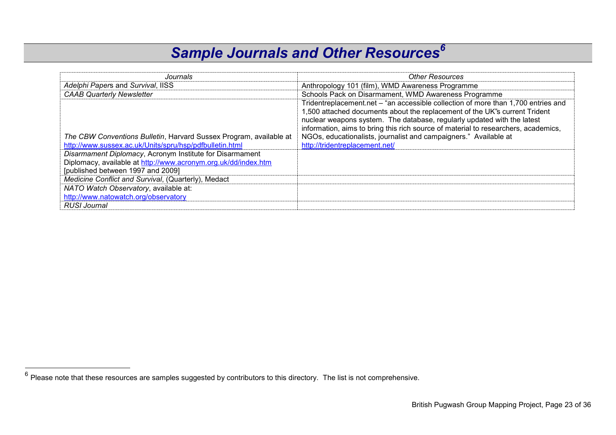# *Sample Journals and Other Resources<sup>6</sup>*

| Journals                                                           | <b>Other Resources</b>                                                             |
|--------------------------------------------------------------------|------------------------------------------------------------------------------------|
| Adelphi Papers and Survival, IISS                                  | Anthropology 101 (film), WMD Awareness Programme                                   |
| <b>CAAB Quarterly Newsletter</b>                                   | Schools Pack on Disarmament, WMD Awareness Programme                               |
|                                                                    | Tridentreplacement.net – "an accessible collection of more than 1,700 entries and  |
|                                                                    | 1,500 attached documents about the replacement of the UK's current Trident         |
|                                                                    | nuclear weapons system. The database, regularly updated with the latest            |
|                                                                    | information, aims to bring this rich source of material to researchers, academics, |
| The CBW Conventions Bulletin, Harvard Sussex Program, available at | NGOs, educationalists, journalist and campaigners." Available at                   |
| http://www.sussex.ac.uk/Units/spru/hsp/pdfbulletin.html            | http://tridentreplacement.net/                                                     |
| Disarmament Diplomacy, Acronym Institute for Disarmament           |                                                                                    |
| Diplomacy, available at http://www.acronym.org.uk/dd/index.htm     |                                                                                    |
| [published between 1997 and 2009]                                  |                                                                                    |
| Medicine Conflict and Survival, (Quarterly), Medact                |                                                                                    |
| NATO Watch Observatory, available at:                              |                                                                                    |
| http://www.natowatch.org/observatory                               |                                                                                    |
| RUSI Journal                                                       |                                                                                    |

 $\overline{a}$ 

 $^6$  Please note that these resources are samples suggested by contributors to this directory. The list is not comprehensive.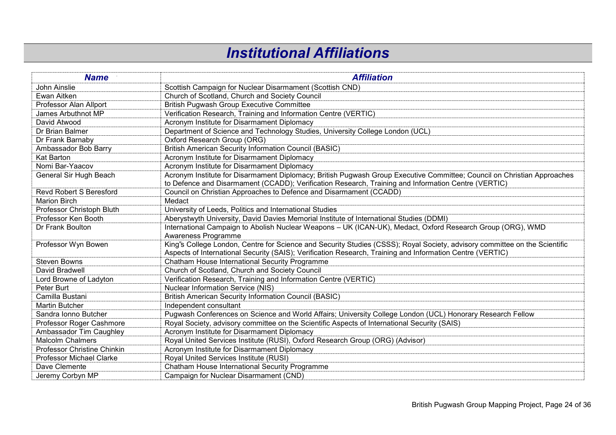#### *Institutional Affiliations*

| <b>Name</b>                     | <b>Affiliation</b>                                                                                                         |
|---------------------------------|----------------------------------------------------------------------------------------------------------------------------|
| John Ainslie                    | Scottish Campaign for Nuclear Disarmament (Scottish CND)                                                                   |
| Ewan Aitken                     | Church of Scotland, Church and Society Council                                                                             |
| Professor Alan Allport          | <b>British Pugwash Group Executive Committee</b>                                                                           |
| James Arbuthnot MP              | Verification Research, Training and Information Centre (VERTIC)                                                            |
| David Atwood                    | Acronym Institute for Disarmament Diplomacy                                                                                |
| Dr Brian Balmer                 | Department of Science and Technology Studies, University College London (UCL)                                              |
| Dr Frank Barnaby                | Oxford Research Group (ORG)                                                                                                |
| Ambassador Bob Barry            | <b>British American Security Information Council (BASIC)</b>                                                               |
| <b>Kat Barton</b>               | Acronym Institute for Disarmament Diplomacy                                                                                |
| Nomi Bar-Yaacov                 | Acronym Institute for Disarmament Diplomacy                                                                                |
| General Sir Hugh Beach          | Acronym Institute for Disarmament Diplomacy; British Pugwash Group Executive Committee; Council on Christian Approaches    |
|                                 | to Defence and Disarmament (CCADD); Verification Research, Training and Information Centre (VERTIC)                        |
| <b>Revd Robert S Beresford</b>  | Council on Christian Approaches to Defence and Disarmament (CCADD)                                                         |
| <b>Marion Birch</b>             | Medact                                                                                                                     |
| Professor Christoph Bluth       | University of Leeds, Politics and International Studies                                                                    |
| Professor Ken Booth             | Aberystwyth University, David Davies Memorial Institute of International Studies (DDMI)                                    |
| Dr Frank Boulton                | International Campaign to Abolish Nuclear Weapons - UK (ICAN-UK), Medact, Oxford Research Group (ORG), WMD                 |
|                                 | Awareness Programme                                                                                                        |
| Professor Wyn Bowen             | King's College London, Centre for Science and Security Studies (CSSS); Royal Society, advisory committee on the Scientific |
|                                 | Aspects of International Security (SAIS); Verification Research, Training and Information Centre (VERTIC)                  |
| <b>Steven Bowns</b>             | Chatham House International Security Programme                                                                             |
| David Bradwell                  | Church of Scotland, Church and Society Council                                                                             |
| Lord Browne of Ladyton          | Verification Research, Training and Information Centre (VERTIC)                                                            |
| Peter Burt                      | <b>Nuclear Information Service (NIS)</b>                                                                                   |
| Camilla Bustani                 | <b>British American Security Information Council (BASIC)</b>                                                               |
| <b>Martin Butcher</b>           | Independent consultant                                                                                                     |
| Sandra Ionno Butcher            | Pugwash Conferences on Science and World Affairs; University College London (UCL) Honorary Research Fellow                 |
| Professor Roger Cashmore        | Royal Society, advisory committee on the Scientific Aspects of International Security (SAIS)                               |
| Ambassador Tim Caughley         | Acronym Institute for Disarmament Diplomacy                                                                                |
| <b>Malcolm Chalmers</b>         | Royal United Services Institute (RUSI), Oxford Research Group (ORG) (Advisor)                                              |
| Professor Christine Chinkin     | Acronym Institute for Disarmament Diplomacy                                                                                |
| <b>Professor Michael Clarke</b> | Royal United Services Institute (RUSI)                                                                                     |
| Dave Clemente                   | Chatham House International Security Programme                                                                             |
| Jeremy Corbyn MP                | Campaign for Nuclear Disarmament (CND)                                                                                     |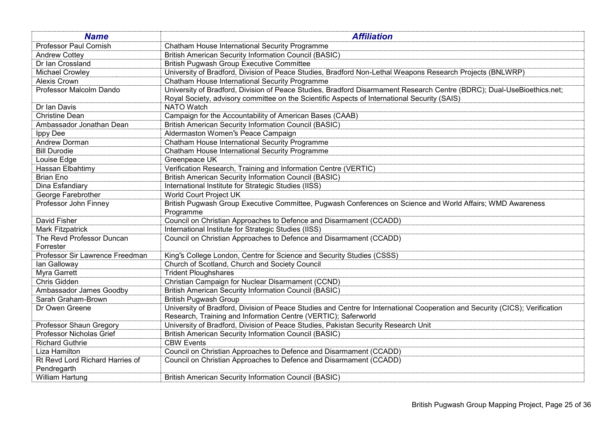| <b>Name</b>                            | <b>Affiliation</b>                                                                                                                                                                                                     |
|----------------------------------------|------------------------------------------------------------------------------------------------------------------------------------------------------------------------------------------------------------------------|
| Professor Paul Cornish                 | Chatham House International Security Programme                                                                                                                                                                         |
| <b>Andrew Cottey</b>                   | <b>British American Security Information Council (BASIC)</b>                                                                                                                                                           |
| Dr Ian Crossland                       | <b>British Pugwash Group Executive Committee</b>                                                                                                                                                                       |
| <b>Michael Crowley</b>                 | University of Bradford, Division of Peace Studies, Bradford Non-Lethal Weapons Research Projects (BNLWRP)                                                                                                              |
| Alexis Crown                           | Chatham House International Security Programme                                                                                                                                                                         |
| Professor Malcolm Dando                | University of Bradford, Division of Peace Studies, Bradford Disarmament Research Centre (BDRC); Dual-UseBioethics.net;<br>Royal Society, advisory committee on the Scientific Aspects of International Security (SAIS) |
| Dr Ian Davis                           | <b>NATO Watch</b>                                                                                                                                                                                                      |
| <b>Christine Dean</b>                  | Campaign for the Accountability of American Bases (CAAB)                                                                                                                                                               |
| Ambassador Jonathan Dean               | <b>British American Security Information Council (BASIC)</b>                                                                                                                                                           |
| <b>Ippy Dee</b>                        | Aldermaston Women's Peace Campaign                                                                                                                                                                                     |
| Andrew Dorman                          | Chatham House International Security Programme                                                                                                                                                                         |
| <b>Bill Durodie</b>                    | Chatham House International Security Programme                                                                                                                                                                         |
| Louise Edge                            | Greenpeace UK                                                                                                                                                                                                          |
| Hassan Elbahtimy                       | Verification Research, Training and Information Centre (VERTIC)                                                                                                                                                        |
| Brian Eno                              | <b>British American Security Information Council (BASIC)</b>                                                                                                                                                           |
| Dina Esfandiary                        | International Institute for Strategic Studies (IISS)                                                                                                                                                                   |
| George Farebrother                     | World Court Project UK                                                                                                                                                                                                 |
| Professor John Finney                  | British Pugwash Group Executive Committee, Pugwash Conferences on Science and World Affairs; WMD Awareness<br>Programme                                                                                                |
| <b>David Fisher</b>                    | Council on Christian Approaches to Defence and Disarmament (CCADD)                                                                                                                                                     |
| <b>Mark Fitzpatrick</b>                | International Institute for Strategic Studies (IISS)                                                                                                                                                                   |
| The Revd Professor Duncan<br>Forrester | Council on Christian Approaches to Defence and Disarmament (CCADD)                                                                                                                                                     |
| Professor Sir Lawrence Freedman        | King's College London, Centre for Science and Security Studies (CSSS)                                                                                                                                                  |
| lan Galloway                           | Church of Scotland, Church and Society Council                                                                                                                                                                         |
| Myra Garrett                           | <b>Trident Ploughshares</b>                                                                                                                                                                                            |
| Chris Gidden                           | Christian Campaign for Nuclear Disarmament (CCND)                                                                                                                                                                      |
| Ambassador James Goodby                | <b>British American Security Information Council (BASIC)</b>                                                                                                                                                           |
| Sarah Graham-Brown                     | <b>British Pugwash Group</b>                                                                                                                                                                                           |
| Dr Owen Greene                         | University of Bradford, Division of Peace Studies and Centre for International Cooperation and Security (CICS); Verification                                                                                           |
|                                        | Research, Training and Information Centre (VERTIC); Saferworld                                                                                                                                                         |
| Professor Shaun Gregory                | University of Bradford, Division of Peace Studies, Pakistan Security Research Unit                                                                                                                                     |
| Professor Nicholas Grief               | <b>British American Security Information Council (BASIC)</b>                                                                                                                                                           |
| <b>Richard Guthrie</b>                 | <b>CBW Events</b>                                                                                                                                                                                                      |
| Liza Hamilton                          | Council on Christian Approaches to Defence and Disarmament (CCADD)                                                                                                                                                     |
| Rt Revd Lord Richard Harries of        | Council on Christian Approaches to Defence and Disarmament (CCADD)                                                                                                                                                     |
| Pendregarth                            |                                                                                                                                                                                                                        |
| William Hartung                        | <b>British American Security Information Council (BASIC)</b>                                                                                                                                                           |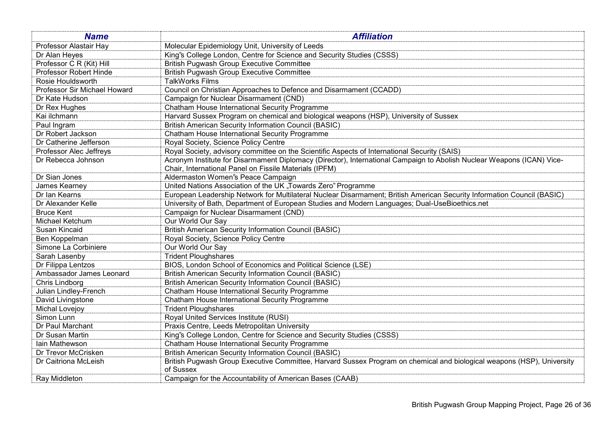| <b>Name</b>                  | <b>Affiliation</b>                                                                                                                  |
|------------------------------|-------------------------------------------------------------------------------------------------------------------------------------|
| Professor Alastair Hay       | Molecular Epidemiology Unit, University of Leeds                                                                                    |
| Dr Alan Heyes                | King's College London, Centre for Science and Security Studies (CSSS)                                                               |
| Professor C R (Kit) Hill     | <b>British Pugwash Group Executive Committee</b>                                                                                    |
| Professor Robert Hinde       | <b>British Pugwash Group Executive Committee</b>                                                                                    |
| Rosie Houldsworth            | <b>TalkWorks Films</b>                                                                                                              |
| Professor Sir Michael Howard | Council on Christian Approaches to Defence and Disarmament (CCADD)                                                                  |
| Dr Kate Hudson               | Campaign for Nuclear Disarmament (CND)                                                                                              |
| Dr Rex Hughes                | Chatham House International Security Programme                                                                                      |
| Kai ilchmann                 | Harvard Sussex Program on chemical and biological weapons (HSP), University of Sussex                                               |
| Paul Ingram                  | <b>British American Security Information Council (BASIC)</b>                                                                        |
| Dr Robert Jackson            | Chatham House International Security Programme                                                                                      |
| Dr Catherine Jefferson       | Royal Society, Science Policy Centre                                                                                                |
| Professor Alec Jeffreys      | Royal Society, advisory committee on the Scientific Aspects of International Security (SAIS)                                        |
| Dr Rebecca Johnson           | Acronym Institute for Disarmament Diplomacy (Director), International Campaign to Abolish Nuclear Weapons (ICAN) Vice-              |
|                              | Chair, International Panel on Fissile Materials (IPFM)                                                                              |
| Dr Sian Jones                | Aldermaston Women's Peace Campaign                                                                                                  |
| James Kearney                | United Nations Association of the UK "Towards Zero" Programme                                                                       |
| Dr Ian Kearns                | European Leadership Network for Multilateral Nuclear Disarmament; British American Security Information Council (BASIC)             |
| Dr Alexander Kelle           | University of Bath, Department of European Studies and Modern Languages; Dual-UseBioethics.net                                      |
| <b>Bruce Kent</b>            | Campaign for Nuclear Disarmament (CND)                                                                                              |
| Michael Ketchum              | Our World Our Say                                                                                                                   |
| Susan Kincaid                | <b>British American Security Information Council (BASIC)</b>                                                                        |
| Ben Koppelman                | Royal Society, Science Policy Centre                                                                                                |
| Simone La Corbiniere         | Our World Our Say                                                                                                                   |
| Sarah Lasenby                | <b>Trident Ploughshares</b>                                                                                                         |
| Dr Filippa Lentzos           | BIOS, London School of Economics and Political Science (LSE)                                                                        |
| Ambassador James Leonard     | <b>British American Security Information Council (BASIC)</b>                                                                        |
| Chris Lindborg               | <b>British American Security Information Council (BASIC)</b>                                                                        |
| Julian Lindley-French        | Chatham House International Security Programme                                                                                      |
| David Livingstone            | Chatham House International Security Programme                                                                                      |
| Michal Lovejoy               | <b>Trident Ploughshares</b>                                                                                                         |
| Simon Lunn                   | Royal United Services Institute (RUSI)                                                                                              |
| Dr Paul Marchant             | Praxis Centre, Leeds Metropolitan University                                                                                        |
| Dr Susan Martin              | King's College London, Centre for Science and Security Studies (CSSS)                                                               |
| lain Mathewson               | Chatham House International Security Programme                                                                                      |
| Dr Trevor McCrisken          | <b>British American Security Information Council (BASIC)</b>                                                                        |
| Dr Caitriona McLeish         | British Pugwash Group Executive Committee, Harvard Sussex Program on chemical and biological weapons (HSP), University<br>of Sussex |
| Ray Middleton                | Campaign for the Accountability of American Bases (CAAB)                                                                            |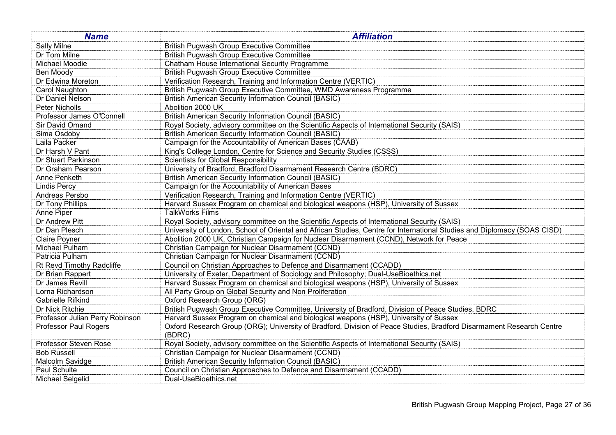| <b>Name</b>                     | <b>Affiliation</b>                                                                                                             |
|---------------------------------|--------------------------------------------------------------------------------------------------------------------------------|
| Sally Milne                     | <b>British Pugwash Group Executive Committee</b>                                                                               |
| Dr Tom Milne                    | <b>British Pugwash Group Executive Committee</b>                                                                               |
| Michael Moodie                  | Chatham House International Security Programme                                                                                 |
| Ben Moody                       | <b>British Pugwash Group Executive Committee</b>                                                                               |
| Dr Edwina Moreton               | Verification Research, Training and Information Centre (VERTIC)                                                                |
| Carol Naughton                  | British Pugwash Group Executive Committee, WMD Awareness Programme                                                             |
| Dr Daniel Nelson                | <b>British American Security Information Council (BASIC)</b>                                                                   |
| Peter Nicholls                  | Abolition 2000 UK                                                                                                              |
| Professor James O'Connell       | <b>British American Security Information Council (BASIC)</b>                                                                   |
| Sir David Omand                 | Royal Society, advisory committee on the Scientific Aspects of International Security (SAIS)                                   |
| Sima Osdoby                     | <b>British American Security Information Council (BASIC)</b>                                                                   |
| Laila Packer                    | Campaign for the Accountability of American Bases (CAAB)                                                                       |
| Dr Harsh V Pant                 | King's College London, Centre for Science and Security Studies (CSSS)                                                          |
| Dr Stuart Parkinson             | <b>Scientists for Global Responsibility</b>                                                                                    |
| Dr Graham Pearson               | University of Bradford, Bradford Disarmament Research Centre (BDRC)                                                            |
| Anne Penketh                    | <b>British American Security Information Council (BASIC)</b>                                                                   |
| <b>Lindis Percy</b>             | Campaign for the Accountability of American Bases                                                                              |
| Andreas Persbo                  | Verification Research, Training and Information Centre (VERTIC)                                                                |
| Dr Tony Phillips                | Harvard Sussex Program on chemical and biological weapons (HSP), University of Sussex                                          |
| Anne Piper                      | <b>TalkWorks Films</b>                                                                                                         |
| <b>Dr Andrew Pitt</b>           | Royal Society, advisory committee on the Scientific Aspects of International Security (SAIS)                                   |
| Dr Dan Plesch                   | University of London, School of Oriental and African Studies, Centre for International Studies and Diplomacy (SOAS CISD)       |
| Claire Poyner                   | Abolition 2000 UK, Christian Campaign for Nuclear Disarmament (CCND), Network for Peace                                        |
| Michael Pulham                  | Christian Campaign for Nuclear Disarmament (CCND)                                                                              |
| Patricia Pulham                 | Christian Campaign for Nuclear Disarmament (CCND)                                                                              |
| Rt Revd Timothy Radcliffe       | Council on Christian Approaches to Defence and Disarmament (CCADD)                                                             |
| Dr Brian Rappert                | University of Exeter, Department of Sociology and Philosophy; Dual-UseBioethics.net                                            |
| Dr James Revill                 | Harvard Sussex Program on chemical and biological weapons (HSP), University of Sussex                                          |
| Lorna Richardson                | All Party Group on Global Security and Non Proliferation                                                                       |
| Gabrielle Rifkind               | Oxford Research Group (ORG)                                                                                                    |
| Dr Nick Ritchie                 | British Pugwash Group Executive Committee, University of Bradford, Division of Peace Studies, BDRC                             |
| Professor Julian Perry Robinson | Harvard Sussex Program on chemical and biological weapons (HSP), University of Sussex                                          |
| <b>Professor Paul Rogers</b>    | Oxford Research Group (ORG); University of Bradford, Division of Peace Studies, Bradford Disarmament Research Centre<br>(BDRC) |
| Professor Steven Rose           | Royal Society, advisory committee on the Scientific Aspects of International Security (SAIS)                                   |
| <b>Bob Russell</b>              | Christian Campaign for Nuclear Disarmament (CCND)                                                                              |
| Malcolm Savidge                 | <b>British American Security Information Council (BASIC)</b>                                                                   |
| Paul Schulte                    | Council on Christian Approaches to Defence and Disarmament (CCADD)                                                             |
| Michael Selgelid                | Dual-UseBioethics.net                                                                                                          |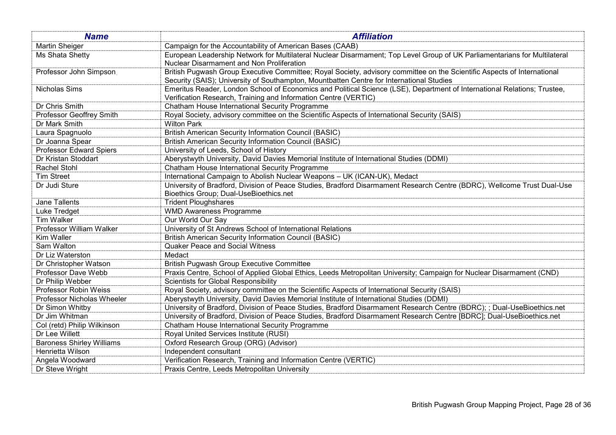| <b>Name</b>                      | <b>Affiliation</b>                                                                                                        |
|----------------------------------|---------------------------------------------------------------------------------------------------------------------------|
| <b>Martin Sheiger</b>            | Campaign for the Accountability of American Bases (CAAB)                                                                  |
| Ms Shata Shetty                  | European Leadership Network for Multilateral Nuclear Disarmament; Top Level Group of UK Parliamentarians for Multilateral |
|                                  | Nuclear Disarmament and Non Proliferation                                                                                 |
| Professor John Simpson           | British Pugwash Group Executive Committee; Royal Society, advisory committee on the Scientific Aspects of International   |
|                                  | Security (SAIS); University of Southampton, Mountbatten Centre for International Studies                                  |
| Nicholas Sims                    | Emeritus Reader, London School of Economics and Political Science (LSE), Department of International Relations; Trustee,  |
|                                  | Verification Research, Training and Information Centre (VERTIC)                                                           |
| Dr Chris Smith                   | Chatham House International Security Programme                                                                            |
| Professor Geoffrey Smith         | Royal Society, advisory committee on the Scientific Aspects of International Security (SAIS)                              |
| Dr Mark Smith                    | <b>Wilton Park</b>                                                                                                        |
| Laura Spagnuolo                  | <b>British American Security Information Council (BASIC)</b>                                                              |
| Dr Joanna Spear                  | <b>British American Security Information Council (BASIC)</b>                                                              |
| <b>Professor Edward Spiers</b>   | University of Leeds, School of History                                                                                    |
| Dr Kristan Stoddart              | Aberystwyth University, David Davies Memorial Institute of International Studies (DDMI)                                   |
| Rachel Stohl                     | Chatham House International Security Programme                                                                            |
| <b>Tim Street</b>                | International Campaign to Abolish Nuclear Weapons - UK (ICAN-UK), Medact                                                  |
| Dr Judi Sture                    | University of Bradford, Division of Peace Studies, Bradford Disarmament Research Centre (BDRC), Wellcome Trust Dual-Use   |
|                                  | Bioethics Group; Dual-UseBioethics.net                                                                                    |
| Jane Tallents                    | <b>Trident Ploughshares</b>                                                                                               |
| Luke Tredget                     | <b>WMD Awareness Programme</b>                                                                                            |
| Tim Walker                       | Our World Our Say                                                                                                         |
| Professor William Walker         | University of St Andrews School of International Relations                                                                |
| Kim Waller                       | <b>British American Security Information Council (BASIC)</b>                                                              |
| Sam Walton                       | <b>Quaker Peace and Social Witness</b>                                                                                    |
| Dr Liz Waterston                 | Medact                                                                                                                    |
| Dr Christopher Watson            | <b>British Pugwash Group Executive Committee</b>                                                                          |
| Professor Dave Webb              | Praxis Centre, School of Applied Global Ethics, Leeds Metropolitan University; Campaign for Nuclear Disarmament (CND)     |
| Dr Philip Webber                 | <b>Scientists for Global Responsibility</b>                                                                               |
| Professor Robin Weiss            | Royal Society, advisory committee on the Scientific Aspects of International Security (SAIS)                              |
| Professor Nicholas Wheeler       | Aberystwyth University, David Davies Memorial Institute of International Studies (DDMI)                                   |
| Dr Simon Whitby                  | University of Bradford, Division of Peace Studies, Bradford Disarmament Research Centre (BDRC); ; Dual-UseBioethics.net   |
| Dr Jim Whitman                   | University of Bradford, Division of Peace Studies, Bradford Disarmament Research Centre [BDRC]; Dual-UseBioethics.net     |
| Col (retd) Philip Wilkinson      | Chatham House International Security Programme                                                                            |
| Dr Lee Willett                   | Royal United Services Institute (RUSI)                                                                                    |
| <b>Baroness Shirley Williams</b> | Oxford Research Group (ORG) (Advisor)                                                                                     |
| Henrietta Wilson                 | Independent consultant                                                                                                    |
| Angela Woodward                  | Verification Research, Training and Information Centre (VERTIC)                                                           |
| Dr Steve Wright                  | Praxis Centre, Leeds Metropolitan University                                                                              |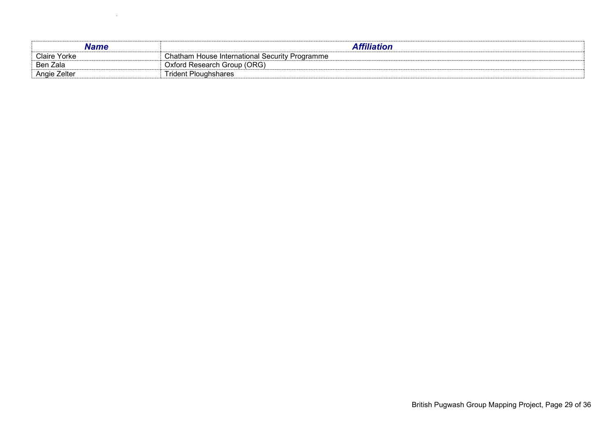| <b>Claire Yorke</b> | Chatham House International Security Programme |
|---------------------|------------------------------------------------|
| Ben Zala            | Oxford Research Group (ORG)                    |
| Angie Zelter        | <b>Frident Ploughshares</b>                    |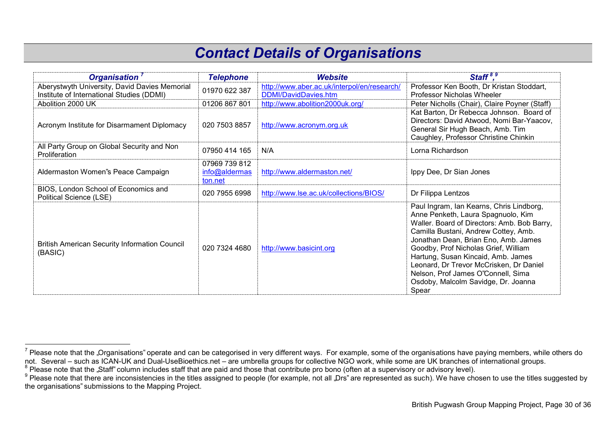#### *Contact Details of Organisations*

| Organisation <sup>7</sup>                                                                  | <b>Telephone</b>                          | <b>Website</b>                                                             | Staff <sup>8,9</sup>                                                                                                                                                                                                                                                                                                                                                                                                         |
|--------------------------------------------------------------------------------------------|-------------------------------------------|----------------------------------------------------------------------------|------------------------------------------------------------------------------------------------------------------------------------------------------------------------------------------------------------------------------------------------------------------------------------------------------------------------------------------------------------------------------------------------------------------------------|
| Aberystwyth University, David Davies Memorial<br>Institute of International Studies (DDMI) | 01970 622 387                             | http://www.aber.ac.uk/interpol/en/research/<br><b>DDMI/DavidDavies.htm</b> | Professor Ken Booth, Dr Kristan Stoddart,<br>Professor Nicholas Wheeler                                                                                                                                                                                                                                                                                                                                                      |
| Abolition 2000 UK                                                                          | 01206 867 801                             | http://www.abolition2000uk.org/                                            | Peter Nicholls (Chair), Claire Poyner (Staff)                                                                                                                                                                                                                                                                                                                                                                                |
| Acronym Institute for Disarmament Diplomacy                                                | 020 7503 8857                             | http://www.acronym.org.uk                                                  | Kat Barton, Dr Rebecca Johnson. Board of<br>Directors: David Atwood, Nomi Bar-Yaacov,<br>General Sir Hugh Beach, Amb. Tim<br>Caughley, Professor Christine Chinkin                                                                                                                                                                                                                                                           |
| All Party Group on Global Security and Non<br>Proliferation                                | 07950 414 165                             | N/A                                                                        | Lorna Richardson                                                                                                                                                                                                                                                                                                                                                                                                             |
| Aldermaston Women's Peace Campaign                                                         | 07969 739 812<br>info@aldermas<br>ton.net | http://www.aldermaston.net/                                                | Ippy Dee, Dr Sian Jones                                                                                                                                                                                                                                                                                                                                                                                                      |
| BIOS, London School of Economics and<br>Political Science (LSE)                            | 020 7955 6998                             | http://www.lse.ac.uk/collections/BIOS/                                     | Dr Filippa Lentzos                                                                                                                                                                                                                                                                                                                                                                                                           |
| <b>British American Security Information Council</b><br>(BASIC)                            | 020 7324 4680                             | http://www.basicint.org                                                    | Paul Ingram, Ian Kearns, Chris Lindborg,<br>Anne Penketh, Laura Spagnuolo, Kim<br>Waller. Board of Directors: Amb. Bob Barry,<br>Camilla Bustani, Andrew Cottey, Amb.<br>Jonathan Dean, Brian Eno, Amb. James<br>Goodby, Prof Nicholas Grief, William<br>Hartung, Susan Kincaid, Amb. James<br>Leonard, Dr Trevor McCrisken, Dr Daniel<br>Nelson, Prof James O'Connell, Sima<br>Osdoby, Malcolm Savidge, Dr. Joanna<br>Spear |

 7 Please note that the "Organisations" operate and can be categorised in very different ways. For example, some of the organisations have paying members, while others do

not. Several – such as ICAN-UK and Dual-UseBioethics.net – are umbrella groups for collective NGO work, while some are UK branches of international groups.<br>° Please note that the "Staff" column includes staff that are pai

 $^9$  Please note that there are inconsistencies in the titles assigned to people (for example, not all "Drs" are represented as such). We have chosen to use the titles suggested by the organisations" submissions to the Mapping Project.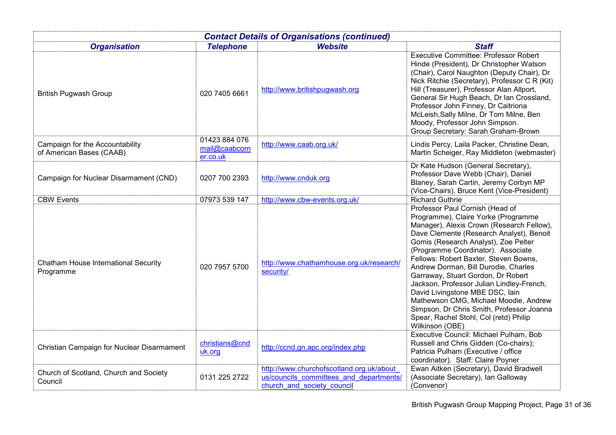| <b>Contact Details of Organisations (continued)</b>         |                                            |                                                                                                                   |                                                                                                                                                                                                                                                                                                                                                                                                                                                                                                                                                                                                         |
|-------------------------------------------------------------|--------------------------------------------|-------------------------------------------------------------------------------------------------------------------|---------------------------------------------------------------------------------------------------------------------------------------------------------------------------------------------------------------------------------------------------------------------------------------------------------------------------------------------------------------------------------------------------------------------------------------------------------------------------------------------------------------------------------------------------------------------------------------------------------|
| <b>Organisation</b>                                         | <b>Telephone</b>                           | <b>Website</b>                                                                                                    | <b>Staff</b>                                                                                                                                                                                                                                                                                                                                                                                                                                                                                                                                                                                            |
| <b>British Pugwash Group</b>                                | 020 7405 6661                              | http://www.britishpugwash.org                                                                                     | <b>Executive Committee: Professor Robert</b><br>Hinde (President), Dr Christopher Watson<br>(Chair), Carol Naughton (Deputy Chair), Dr<br>Nick Ritchie (Secretary), Professor C R (Kit)<br>Hill (Treasurer), Professor Alan Allport,<br>General Sir Hugh Beach, Dr Ian Crossland,<br>Professor John Finney, Dr Caitriona<br>McLeish, Sally Milne, Dr Tom Milne, Ben<br>Moody, Professor John Simpson.<br>Group Secretary: Sarah Graham-Brown                                                                                                                                                            |
| Campaign for the Accountability<br>of American Bases (CAAB) | 01423 884 076<br>mail@caabcorn<br>er.co.uk | http://www.caab.org.uk/                                                                                           | Lindis Percy, Laila Packer, Christine Dean,<br>Martin Scheiger, Ray Middleton (webmaster)                                                                                                                                                                                                                                                                                                                                                                                                                                                                                                               |
| Campaign for Nuclear Disarmament (CND)                      | 0207 700 2393                              | http://www.cnduk.org                                                                                              | Dr Kate Hudson (General Secretary),<br>Professor Dave Webb (Chair), Daniel<br>Blaney, Sarah Cartin, Jeremy Corbyn MP<br>(Vice-Chairs), Bruce Kent (Vice-President)                                                                                                                                                                                                                                                                                                                                                                                                                                      |
| <b>CBW Events</b>                                           | 07973 539 147                              | http://www.cbw-events.org.uk/                                                                                     | <b>Richard Guthrie</b>                                                                                                                                                                                                                                                                                                                                                                                                                                                                                                                                                                                  |
| Chatham House International Security<br>Programme           | 020 7957 5700                              | http://www.chathamhouse.org.uk/research/<br>security/                                                             | Professor Paul Cornish (Head of<br>Programme), Claire Yorke (Programme<br>Manager), Alexis Crown (Research Fellow),<br>Dave Clemente (Research Analyst), Benoit<br>Gomis (Research Analyst), Zoe Pelter<br>(Programme Coordinator). Associate<br>Fellows: Robert Baxter, Steven Bowns,<br>Andrew Dorman, Bill Durodie, Charles<br>Garraway, Stuart Gordon, Dr Robert<br>Jackson, Professor Julian Lindley-French,<br>David Livingstone MBE DSC, lain<br>Mathewson CMG, Michael Moodie, Andrew<br>Simpson, Dr Chris Smith, Professor Joanna<br>Spear, Rachel Stohl, Col (retd) Philip<br>Wilkinson (OBE) |
| Christian Campaign for Nuclear Disarmament                  | christians@cnd<br>uk.org                   | http://ccnd.gn.apc.org/index.php                                                                                  | Executive Council: Michael Pulham, Bob<br>Russell and Chris Gidden (Co-chairs);<br>Patricia Pulham (Executive / office<br>coordinator). Staff: Claire Poyner                                                                                                                                                                                                                                                                                                                                                                                                                                            |
| Church of Scotland, Church and Society<br>Council           | 0131 225 2722                              | http://www.churchofscotland.org.uk/about<br>us/councils committees and departments/<br>church and society council | Ewan Aitken (Secretary), David Bradwell<br>(Associate Secretary), Ian Galloway<br>(Convenor)                                                                                                                                                                                                                                                                                                                                                                                                                                                                                                            |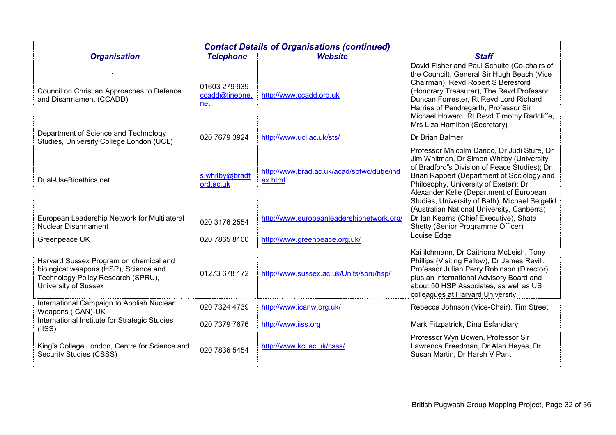| <b>Contact Details of Organisations (continued)</b>                                                                                           |                                        |                                                      |                                                                                                                                                                                                                                                                                                                                                                           |
|-----------------------------------------------------------------------------------------------------------------------------------------------|----------------------------------------|------------------------------------------------------|---------------------------------------------------------------------------------------------------------------------------------------------------------------------------------------------------------------------------------------------------------------------------------------------------------------------------------------------------------------------------|
| <b>Organisation</b>                                                                                                                           | <b>Telephone</b>                       | <b>Website</b>                                       | <b>Staff</b>                                                                                                                                                                                                                                                                                                                                                              |
| Council on Christian Approaches to Defence<br>and Disarmament (CCADD)                                                                         | 01603 279 939<br>ccadd@lineone.<br>net | http://www.ccadd.org.uk                              | David Fisher and Paul Schulte (Co-chairs of<br>the Council), General Sir Hugh Beach (Vice<br>Chairman), Revd Robert S Beresford<br>(Honorary Treasurer), The Revd Professor<br>Duncan Forrester, Rt Revd Lord Richard<br>Harries of Pendregarth, Professor Sir<br>Michael Howard, Rt Revd Timothy Radcliffe,<br>Mrs Liza Hamilton (Secretary)                             |
| Department of Science and Technology<br>Studies, University College London (UCL)                                                              | 020 7679 3924                          | http://www.ucl.ac.uk/sts/                            | Dr Brian Balmer                                                                                                                                                                                                                                                                                                                                                           |
| Dual-UseBioethics.net                                                                                                                         | s.whitby@bradf<br>ord.ac.uk            | http://www.brad.ac.uk/acad/sbtwc/dube/ind<br>ex.html | Professor Malcolm Dando, Dr Judi Sture, Dr<br>Jim Whitman, Dr Simon Whitby (University<br>of Bradford''s Division of Peace Studies); Dr<br>Brian Rappert (Department of Sociology and<br>Philosophy, University of Exeter); Dr<br>Alexander Kelle (Department of European<br>Studies, University of Bath); Michael Selgelid<br>(Australian National University, Canberra) |
| European Leadership Network for Multilateral<br><b>Nuclear Disarmament</b>                                                                    | 020 3176 2554                          | http://www.europeanleadershipnetwork.org/            | Dr Ian Kearns (Chief Executive), Shata<br>Shetty (Senior Programme Officer)                                                                                                                                                                                                                                                                                               |
| Greenpeace UK                                                                                                                                 | 020 7865 8100                          | http://www.greenpeace.org.uk/                        | Louise Edge                                                                                                                                                                                                                                                                                                                                                               |
| Harvard Sussex Program on chemical and<br>biological weapons (HSP), Science and<br>Technology Policy Research (SPRU),<br>University of Sussex | 01273 678 172                          | http://www.sussex.ac.uk/Units/spru/hsp/              | Kai ilchmann, Dr Caitriona McLeish, Tony<br>Phillips (Visiting Fellow), Dr James Revill,<br>Professor Julian Perry Robinson (Director);<br>plus an international Advisory Board and<br>about 50 HSP Associates, as well as US<br>colleagues at Harvard University.                                                                                                        |
| International Campaign to Abolish Nuclear<br>Weapons (ICAN)-UK                                                                                | 020 7324 4739                          | http://www.icanw.org.uk/                             | Rebecca Johnson (Vice-Chair), Tim Street                                                                                                                                                                                                                                                                                                                                  |
| International Institute for Strategic Studies<br>(IISS)                                                                                       | 020 7379 7676                          | http://www.iiss.org                                  | Mark Fitzpatrick, Dina Esfandiary                                                                                                                                                                                                                                                                                                                                         |
| King's College London, Centre for Science and<br>Security Studies (CSSS)                                                                      | 020 7836 5454                          | http://www.kcl.ac.uk/csss/                           | Professor Wyn Bowen, Professor Sir<br>Lawrence Freedman, Dr Alan Heyes, Dr<br>Susan Martin, Dr Harsh V Pant                                                                                                                                                                                                                                                               |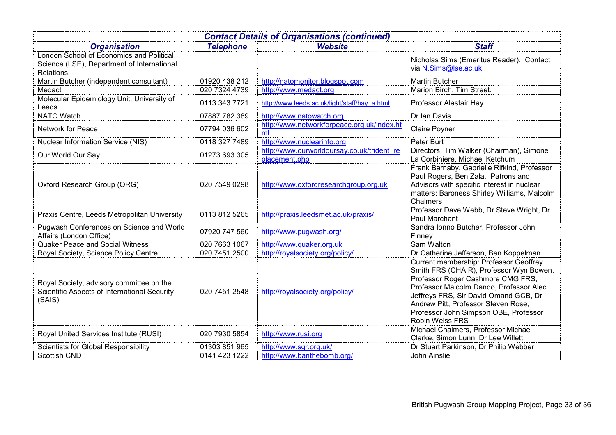| <b>Contact Details of Organisations (continued)</b>                                                        |                  |                                                             |                                                                                                                                                                                                                                                                                                                             |
|------------------------------------------------------------------------------------------------------------|------------------|-------------------------------------------------------------|-----------------------------------------------------------------------------------------------------------------------------------------------------------------------------------------------------------------------------------------------------------------------------------------------------------------------------|
| <b>Organisation</b>                                                                                        | <b>Telephone</b> | <b>Website</b>                                              | <b>Staff</b>                                                                                                                                                                                                                                                                                                                |
| London School of Economics and Political<br>Science (LSE), Department of International<br><b>Relations</b> |                  |                                                             | Nicholas Sims (Emeritus Reader). Contact<br>via N.Sims@lse.ac.uk                                                                                                                                                                                                                                                            |
| Martin Butcher (independent consultant)                                                                    | 01920 438 212    | http://natomonitor.blogspot.com                             | <b>Martin Butcher</b>                                                                                                                                                                                                                                                                                                       |
| Medact                                                                                                     | 020 7324 4739    | http://www.medact.org                                       | Marion Birch, Tim Street.                                                                                                                                                                                                                                                                                                   |
| Molecular Epidemiology Unit, University of<br>Leeds                                                        | 0113 343 7721    | http://www.leeds.ac.uk/light/staff/hay_a.html               | Professor Alastair Hay                                                                                                                                                                                                                                                                                                      |
| <b>NATO Watch</b>                                                                                          | 07887 782 389    | http://www.natowatch.org                                    | Dr Ian Davis                                                                                                                                                                                                                                                                                                                |
| Network for Peace                                                                                          | 07794 036 602    | http://www.networkforpeace.org.uk/index.ht<br>ml            | <b>Claire Poyner</b>                                                                                                                                                                                                                                                                                                        |
| <b>Nuclear Information Service (NIS)</b>                                                                   | 0118 327 7489    | http://www.nuclearinfo.org                                  | Peter Burt                                                                                                                                                                                                                                                                                                                  |
| Our World Our Say                                                                                          | 01273 693 305    | http://www.ourworldoursay.co.uk/trident_re<br>placement.php | Directors: Tim Walker (Chairman), Simone<br>La Corbiniere, Michael Ketchum                                                                                                                                                                                                                                                  |
| Oxford Research Group (ORG)                                                                                | 020 7549 0298    | http://www.oxfordresearchgroup.org.uk                       | Frank Barnaby, Gabrielle Rifkind, Professor<br>Paul Rogers, Ben Zala. Patrons and<br>Advisors with specific interest in nuclear<br>matters: Baroness Shirley Williams, Malcolm<br>Chalmers                                                                                                                                  |
| Praxis Centre, Leeds Metropolitan University                                                               | 0113 812 5265    | http://praxis.leedsmet.ac.uk/praxis/                        | Professor Dave Webb, Dr Steve Wright, Dr<br>Paul Marchant                                                                                                                                                                                                                                                                   |
| Pugwash Conferences on Science and World<br>Affairs (London Office)                                        | 07920 747 560    | http://www.pugwash.org/                                     | Sandra Ionno Butcher, Professor John<br>Finney                                                                                                                                                                                                                                                                              |
| <b>Quaker Peace and Social Witness</b>                                                                     | 020 7663 1067    | http://www.quaker.org.uk                                    | Sam Walton                                                                                                                                                                                                                                                                                                                  |
| Royal Society, Science Policy Centre                                                                       | 020 7451 2500    | http://royalsociety.org/policy/                             | Dr Catherine Jefferson, Ben Koppelman                                                                                                                                                                                                                                                                                       |
| Royal Society, advisory committee on the<br>Scientific Aspects of International Security<br>(SAIS)         | 020 7451 2548    | http://royalsociety.org/policy/                             | <b>Current membership: Professor Geoffrey</b><br>Smith FRS (CHAIR), Professor Wyn Bowen,<br>Professor Roger Cashmore CMG FRS,<br>Professor Malcolm Dando, Professor Alec<br>Jeffreys FRS, Sir David Omand GCB, Dr<br>Andrew Pitt, Professor Steven Rose,<br>Professor John Simpson OBE, Professor<br><b>Robin Weiss FRS</b> |
| Royal United Services Institute (RUSI)                                                                     | 020 7930 5854    | http://www.rusi.org                                         | Michael Chalmers, Professor Michael<br>Clarke, Simon Lunn, Dr Lee Willett                                                                                                                                                                                                                                                   |
| Scientists for Global Responsibility                                                                       | 01303 851 965    | http://www.sgr.org.uk/                                      | Dr Stuart Parkinson, Dr Philip Webber                                                                                                                                                                                                                                                                                       |
| <b>Scottish CND</b>                                                                                        | 0141 423 1222    | http://www.banthebomb.org/                                  | John Ainslie                                                                                                                                                                                                                                                                                                                |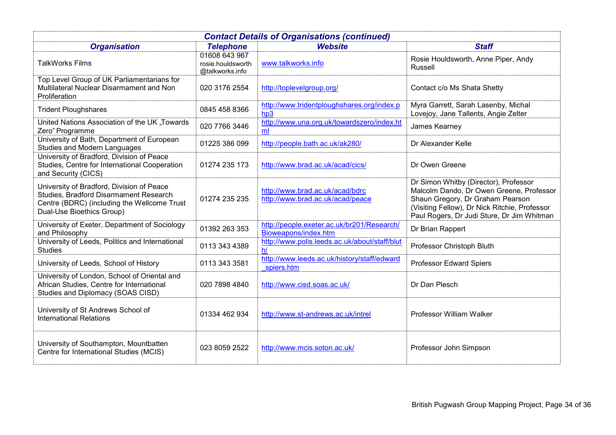| <b>Contact Details of Organisations (continued)</b>                                                                                                             |                                                       |                                                                     |                                                                                                                                                                                                                      |
|-----------------------------------------------------------------------------------------------------------------------------------------------------------------|-------------------------------------------------------|---------------------------------------------------------------------|----------------------------------------------------------------------------------------------------------------------------------------------------------------------------------------------------------------------|
| <b>Organisation</b>                                                                                                                                             | <b>Telephone</b>                                      | <b>Website</b>                                                      | <b>Staff</b>                                                                                                                                                                                                         |
| <b>TalkWorks Films</b>                                                                                                                                          | 01608 643 967<br>rosie.houldsworth<br>@talkworks.info | www.talkworks.info                                                  | Rosie Houldsworth, Anne Piper, Andy<br><b>Russell</b>                                                                                                                                                                |
| Top Level Group of UK Parliamentarians for<br>Multilateral Nuclear Disarmament and Non<br>Proliferation                                                         | 020 3176 2554                                         | http://toplevelgroup.org/                                           | Contact c/o Ms Shata Shetty                                                                                                                                                                                          |
| <b>Trident Ploughshares</b>                                                                                                                                     | 0845 458 8366                                         | http://www.tridentploughshares.org/index.p<br>hp3                   | Myra Garrett, Sarah Lasenby, Michal<br>Lovejoy, Jane Tallents, Angie Zelter                                                                                                                                          |
| United Nations Association of the UK "Towards<br>Zero" Programme                                                                                                | 020 7766 3446                                         | http://www.una.org.uk/towardszero/index.ht<br>ml                    | James Kearney                                                                                                                                                                                                        |
| University of Bath, Department of European<br>Studies and Modern Languages                                                                                      | 01225 386 099                                         | http://people.bath.ac.uk/ak280/                                     | Dr Alexander Kelle                                                                                                                                                                                                   |
| University of Bradford, Division of Peace<br>Studies, Centre for International Cooperation<br>and Security (CICS)                                               | 01274 235 173                                         | http://www.brad.ac.uk/acad/cics/                                    | Dr Owen Greene                                                                                                                                                                                                       |
| University of Bradford, Division of Peace<br>Studies, Bradford Disarmament Research<br>Centre (BDRC) (including the Wellcome Trust<br>Dual-Use Bioethics Group) | 01274 235 235                                         | http://www.brad.ac.uk/acad/bdrc<br>http://www.brad.ac.uk/acad/peace | Dr Simon Whitby (Director), Professor<br>Malcolm Dando, Dr Owen Greene, Professor<br>Shaun Gregory, Dr Graham Pearson<br>(Visiting Fellow), Dr Nick Ritchie, Professor<br>Paul Rogers, Dr Judi Sture, Dr Jim Whitman |
| University of Exeter, Department of Sociology<br>and Philosophy                                                                                                 | 01392 263 353                                         | http://people.exeter.ac.uk/br201/Research/<br>Bioweapons/index.htm  | Dr Brian Rappert                                                                                                                                                                                                     |
| University of Leeds, Politics and International<br><b>Studies</b>                                                                                               | 0113 343 4389                                         | http://www.polis.leeds.ac.uk/about/staff/blut<br>h/                 | Professor Christoph Bluth                                                                                                                                                                                            |
| University of Leeds, School of History                                                                                                                          | 0113 343 3581                                         | http://www.leeds.ac.uk/history/staff/edward<br>spiers.htm           | Professor Edward Spiers                                                                                                                                                                                              |
| University of London, School of Oriental and<br>African Studies, Centre for International<br>Studies and Diplomacy (SOAS CISD)                                  | 020 7898 4840                                         | http://www.cisd.soas.ac.uk/                                         | Dr Dan Plesch                                                                                                                                                                                                        |
| University of St Andrews School of<br><b>International Relations</b>                                                                                            | 01334 462 934                                         | http://www.st-andrews.ac.uk/intrel                                  | Professor William Walker                                                                                                                                                                                             |
| University of Southampton, Mountbatten<br>Centre for International Studies (MCIS)                                                                               | 023 8059 2522                                         | http://www.mcis.soton.ac.uk/                                        | Professor John Simpson                                                                                                                                                                                               |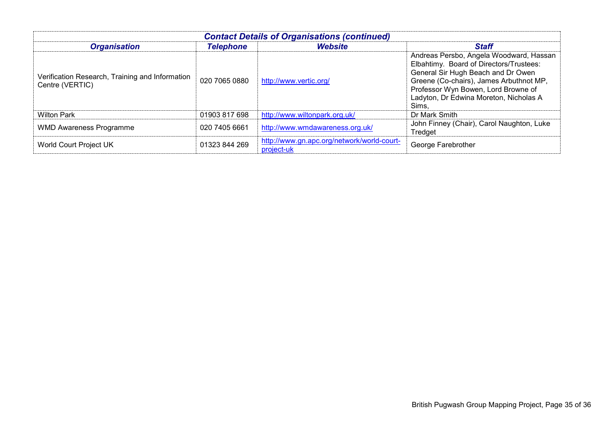| <b>Contact Details of Organisations (continued)</b>                |                  |                                                          |                                                                                                                                                                                                                                                               |
|--------------------------------------------------------------------|------------------|----------------------------------------------------------|---------------------------------------------------------------------------------------------------------------------------------------------------------------------------------------------------------------------------------------------------------------|
| <b>Organisation</b>                                                | <b>Telephone</b> | <b>Website</b>                                           | <b>Staff</b>                                                                                                                                                                                                                                                  |
| Verification Research, Training and Information<br>Centre (VERTIC) | 020 7065 0880    | http://www.vertic.org/                                   | Andreas Persbo, Angela Woodward, Hassan<br>Elbahtimy. Board of Directors/Trustees:<br>General Sir Hugh Beach and Dr Owen<br>Greene (Co-chairs), James Arbuthnot MP,<br>Professor Wyn Bowen, Lord Browne of<br>Ladyton, Dr Edwina Moreton, Nicholas A<br>Sims. |
| <b>Wilton Park</b>                                                 | 01903 817 698    | http://www.wiltonpark.org.uk/                            | Dr Mark Smith                                                                                                                                                                                                                                                 |
| <b>WMD Awareness Programme</b>                                     | 020 7405 6661    | http://www.wmdawareness.org.uk/                          | John Finney (Chair), Carol Naughton, Luke<br>Tredget                                                                                                                                                                                                          |
| World Court Project UK                                             | 01323 844 269    | http://www.gn.apc.org/network/world-court-<br>project-uk | George Farebrother                                                                                                                                                                                                                                            |